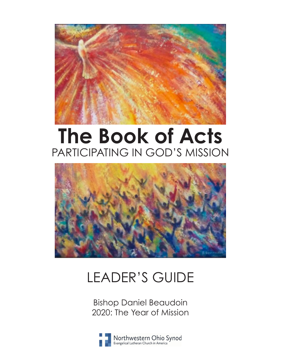

# **The Book of Acts** PARTICIPATING IN GOD'S MISSION



# LEADER'S GUIDE

Bishop Daniel Beaudoin 2020: The Year of Mission

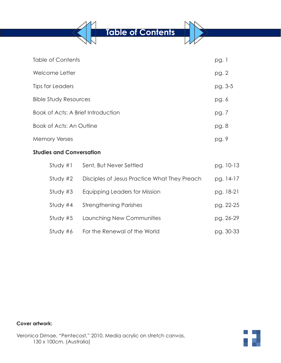**Table of Contents**

| Table of Contents                  | pg. 1   |
|------------------------------------|---------|
| Welcome Letter                     | pg. 2   |
| Tips for Leaders                   | pg. 3-5 |
| <b>Bible Study Resources</b>       | pg. 6   |
| Book of Acts: A Brief Introduction | pg. 7   |
| Book of Acts: An Outline           | pg. 8   |
| <b>Memory Verses</b>               | pg. 9   |

# **Studies and Conversation**

| Study #1   | Sent, But Never Settled                      | pg. 10-13 |
|------------|----------------------------------------------|-----------|
| Study $#2$ | Disciples of Jesus Practice What They Preach | pg. 14-17 |
| Study $#3$ | Equipping Leaders for Mission                | pg. 18-21 |
| Study $#4$ | <b>Strengthening Parishes</b>                | pg. 22-25 |
| Study $#5$ | Launching New Communities                    | pg. 26-29 |
| Study #6   | For the Renewal of the World                 | pg. 30-33 |

## **Cover artwork:**

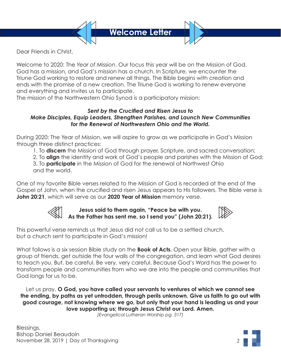

Dear Friends in Christ,

Welcome to 2020: The *Year of Mission*. Our focus this year will be on the Mission of God. God has a mission, and God's mission has a church. In Scripture, we encounter the Triune God working to restore and renew all things. The Bible begins with creation and ends with the promise of a new creation. The Triune God is working to renew everyone and everything and invites us to participate.

The mission of the Northwestern Ohio Synod is a participatory mission:

### *Sent by the Crucified and Risen Jesus to Make Disciples, Equip Leaders, Strengthen Parishes, and Launch New Communities for the Renewal of Northwestern Ohio and the World.*

During 2020: The Year of Mission, we will aspire to grow as we participate in God's Mission through three distinct practices:

- 1. To **discern** the Mission of God through prayer, Scripture, and sacred conversation;
- 2. To **align** the identity and work of God's people and parishes with the Mission of God;
- 3. To **participate** in the Mission of God for the renewal of Northwest Ohio and the world.

One of my favorite Bible verses related to the Mission of God is recorded at the end of the Gospel of John, when the crucified and risen Jesus appears to His followers. The Bible verse is **John 20:21**, which will serve as our **2020 Year of Mission** memory verse.



# **Jesus said to them again, "Peace be with you. As the Father has sent me, so I send you" (John 20:21).**



This powerful verse reminds us that Jesus did not call us to be a settled church, but a church sent to participate in God's mission!

What follows is a six session Bible study on the **Book of Acts**. Open your Bible, gather with a group of friends, get outside the four walls of the congregation, and learn what God desires to teach you. But, be careful. Be very, very careful. Because God's Word has the power to transform people and communities from who we are into the people and communities that God longs for us to be.

Let us pray, **O God, you have called your servants to ventures of which we cannot see the ending, by paths as yet untrodden, through perils unknown. Give us faith to go out with good courage, not knowing where we go, but only that your hand is leading us and your love supporting us; through Jesus Christ our Lord. Amen.**

*(Evangelical Lutheran Worship pg. 317)*

Blessings, Bishop Daniel Beaudoin November 28, 2019 | Day of Thanksgiving 2

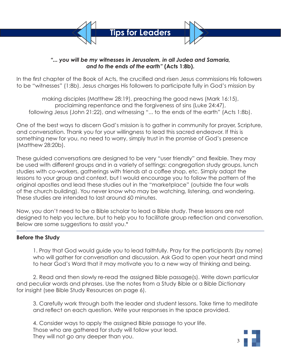

# *"... you will be my witnesses in Jerusalem, in all Judea and Samaria, and to the ends of the earth"* **(Acts 1:8b).**

In the first chapter of the Book of Acts, the crucified and risen Jesus commissions His followers to be "witnesses" (1:8b). Jesus charges His followers to participate fully in God's mission by

making disciples (Matthew 28:19), preaching the good news (Mark 16:15), proclaiming repentance and the forgiveness of sins (Luke 24:47), following Jesus (John 21:22), and witnessing "... to the ends of the earth" (Acts 1:8b).

One of the best ways to discern God's mission is to gather in community for prayer, Scripture, and conversation. Thank you for your willingness to lead this sacred endeavor. If this is something new for you, no need to worry, simply trust in the promise of God's presence (Matthew 28:20b).

These guided conversations are designed to be very "user friendly" and flexible. They may be used with different groups and in a variety of settings: congregation study groups, lunch studies with co-workers, gatherings with friends at a coffee shop, etc. Simply adapt the lessons to your group and context, but I would encourage you to follow the pattern of the original apostles and lead these studies out in the "marketplace" (outside the four walls of the church building). You never know who may be watching, listening, and wondering. These studies are intended to last around 60 minutes.

Now, you don't need to be a Bible scholar to lead a Bible study. These lessons are not designed to help you lecture, but to help you to facilitate group reflection and conversation. Below are some suggestions to assist you.\*

# **Before the Study**

1. Pray that God would guide you to lead faithfully. Pray for the participants (by name) who will gather for conversation and discussion. Ask God to open your heart and mind to hear God's Word that it may motivate you to a new way of thinking and being.

2. Read and then slowly re-read the assigned Bible passage(s). Write down particular and peculiar words and phrases. Use the notes from a Study Bible or a Bible Dictionary for insight (see Bible Study Resources on page 6).

3. Carefully work through both the leader and student lessons. Take time to meditate and reflect on each question. Write your responses in the space provided.

4. Consider ways to apply the assigned Bible passage to your life. Those who are gathered for study will follow your lead. They will not go any deeper than you.

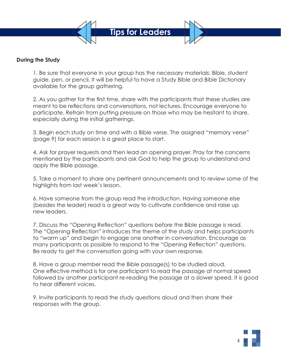

# **During the Study**

1. Be sure that everyone in your group has the necessary materials: Bible, student guide, pen, or pencil. It will be helpful to have a Study Bible and Bible Dictionary available for the group gathering.

2. As you gather for the first time, share with the participants that these studies are meant to be reflections and conversations, not lectures. Encourage everyone to participate. Refrain from putting pressure on those who may be hesitant to share, especially during the initial gatherings.

3. Begin each study on time and with a Bible verse. The assigned "memory verse" (page 9) for each session is a great place to start.

4. Ask for prayer requests and then lead an opening prayer. Pray for the concerns mentioned by the participants and ask God to help the group to understand and apply the Bible passage.

5. Take a moment to share any pertinent announcements and to review some of the highlights from last week's lesson.

6. Have someone from the group read the introduction. Having someone else (besides the leader) read is a great way to cultivate confidence and raise up new leaders.

7. Discuss the "Opening Reflection" questions before the Bible passage is read. The "Opening Reflection" introduces the theme of the study and helps participants to "warm up" and begin to engage one another in conversation. Encourage as many participants as possible to respond to the "Opening Reflection" questions. Be ready to get the conversation going with your own response.

8. Have a group member read the Bible passage(s) to be studied aloud. One effective method is for one participant to read the passage at normal speed followed by another participant re-reading the passage at a slower speed. It is good to hear different voices.

9. Invite participants to read the study questions aloud and then share their responses with the group.

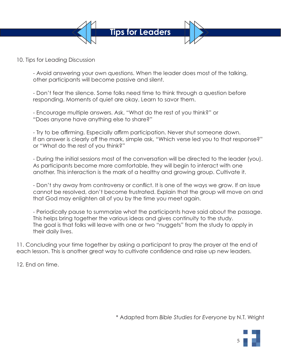

10. Tips for Leading Discussion

- Avoid answering your own questions. When the leader does most of the talking, other participants will become passive and silent.

- Don't fear the silence. Some folks need time to think through a question before responding. Moments of quiet are okay. Learn to savor them.

- Encourage multiple answers. Ask, "What do the rest of you think?" or "Does anyone have anything else to share?"

- Try to be affirming. Especially affirm participation. Never shut someone down. If an answer is clearly off the mark, simple ask, "Which verse led you to that response?" or "What do the rest of you think?"

- During the initial sessions most of the conversation will be directed to the leader (you). As participants become more comfortable, they will begin to interact with one another. This interaction is the mark of a healthy and growing group. Cultivate it.

- Don't shy away from controversy or conflict. It is one of the ways we grow. If an issue cannot be resolved, don't become frustrated. Explain that the group will move on and that God may enlighten all of you by the time you meet again.

- Periodically pause to summarize what the participants have said about the passage. This helps bring together the various ideas and gives continuity to the study. The goal is that folks will leave with one or two "nuggets" from the study to apply in their daily lives.

11. Concluding your time together by asking a participant to pray the prayer at the end of each lesson. This is another great way to cultivate confidence and raise up new leaders.

12. End on time.

\* Adapted from *Bible Studies for Everyone* by N.T. Wright

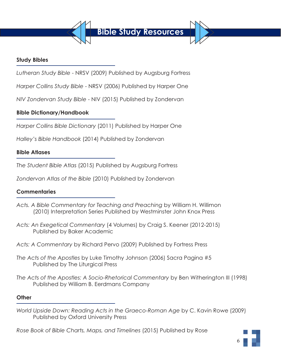

# **Study Bibles**

*Lutheran Study Bible* - NRSV (2009) Published by Augsburg Fortress

*Harper Collins Study Bible* - NRSV (2006) Published by Harper One

*NIV Zondervan Study Bible* - NIV (2015) Published by Zondervan

# **Bible Dictionary/Handbook**

*Harper Collins Bible Dictionary* (2011) Published by Harper One

*Halley's Bible Handbook* (2014) Published by Zondervan

# **Bible Atlases**

*The Student Bible Atlas* (2015) Published by Augsburg Fortress

*Zondervan Atlas of the Bible* (2010) Published by Zondervan

# **Commentaries**

- *Acts. A Bible Commentary for Teaching and Preaching* by William H. Willimon (2010) Interpretation Series Published by Westminster John Knox Press
- *Acts: An Exegetical Commentary* (4 Volumes) by Craig S. Keener (2012-2015) Published by Baker Academic
- *Acts: A Commentary* by Richard Pervo (2009) Published by Fortress Press
- *The Acts of the Apostles* by Luke Timothy Johnson (2006) Sacra Pagina #5 Published by The Liturgical Press
- *The Acts of the Apostles: A Socio-Rhetorical Commentary* by Ben Witherington III (1998) Published by William B. Eerdmans Company

# **Other**

*World Upside Down: Reading Acts in the Graeco-Roman Age* by C. Kavin Rowe (2009) Published by Oxford University Press

*Rose Book of Bible Charts, Maps, and Timelines* (2015) Published by Rose

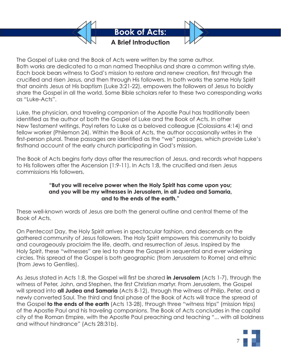

The Gospel of Luke and the Book of Acts were written by the same author. Both works are dedicated to a man named Theophilus and share a common writing style. Each book bears witness to God's mission to restore and renew creation, first through the crucified and risen Jesus, and then through His followers. In both works the same Holy Spirit that anoints Jesus at His baptism (Luke 3:21-22), empowers the followers of Jesus to boldly share the Gospel in all the world. Some Bible scholars refer to these two corresponding works as "Luke-Acts".

Luke, the physician, and traveling companion of the Apostle Paul has traditionally been identified as the author of both the Gospel of Luke and the Book of Acts. In other New Testament writings, Payl refers to Luke as a beloved colleague (Colossians 4:14) and fellow worker (Philemon 24). Within the Book of Acts, the author occasionally writes in the first-person plural. These passages are identified as the "we" passages, which provide Luke's firsthand account of the early church participating in God's mission.

The Book of Acts begins forty days after the resurrection of Jesus, and records what happens to His followers after the Ascension (1:9-11). In Acts 1:8, the crucified and risen Jesus commissions His followers,

# **"But you will receive power when the Holy Spirit has come upon you; and you will be my witnesses in Jerusalem, in all Judea and Samaria, and to the ends of the earth."**

These well-known words of Jesus are both the general outline and central theme of the Book of Acts.

On Pentecost Day, the Holy Spirit arrives in spectacular fashion, and descends on the gathered community of Jesus followers. The Holy Spirit empowers this community to boldly and courageously proclaim the life, death, and resurrection of Jesus. Inspired by the Holy Spirit, these "witnesses" are led to share the Gospel in sequential and ever widening circles. This spread of the Gospel is both geographic (from Jerusalem to Rome) and ethnic (from Jews to Gentiles).

As Jesus stated in Acts 1:8, the Gospel will first be shared **in Jerusalem** (Acts 1-7), through the witness of Peter, John, and Stephen, the first Christian martyr. From Jerusalem, the Gospel will spread into **all Judea and Samaria** (Acts 8-12), through the witness of Philip, Peter, and a newly converted Saul. The third and final phase of the Book of Acts will trace the spread of the Gospel **to the ends of the earth** (Acts 13-28), through three "witness trips" (mission trips) of the Apostle Paul and his traveling companions. The Book of Acts concludes in the capital city of the Roman Empire, with the Apostle Paul preaching and teaching "... with all boldness and without hindrance" (Acts 28:31b).

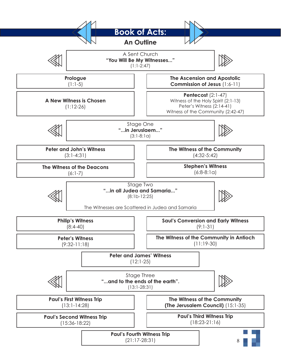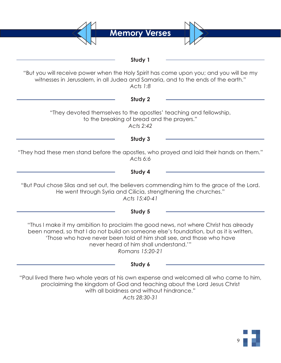**Memory Verses Study 1** "But you will receive power when the Holy Spirit has come upon you; and you will be my witnesses in Jerusalem, in all Judea and Samaria, and to the ends of the earth." *Acts 1:8* **Study 2** "They devoted themselves to the apostles' teaching and fellowship, to the breaking of bread and the prayers." *Acts 2:42* **Study 3** "They had these men stand before the apostles, who prayed and laid their hands on them." *Acts 6:6* **Study 4** "But Paul chose Silas and set out, the believers commending him to the grace of the Lord. He went through Syria and Cilicia, strengthening the churches." *Acts 15:40-41* **Study 5** "Thus I make it my ambition to proclaim the good news, not where Christ has already been named, so that I do not build on someone else's foundation, but as it is written, 'Those who have never been told of him shall see, and those who have never heard of him shall understand.'" *Romans 15:20-21* **Study 6** "Paul lived there two whole years at his own expense and welcomed all who came to him, proclaiming the kingdom of God and teaching about the Lord Jesus Christ with all boldness and without hindrance." *Acts 28:30-31*

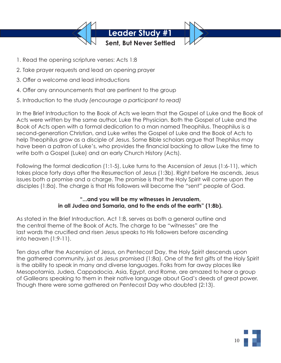

- 1. Read the opening scripture verses: Acts 1:8
- 2. Take prayer requests and lead an opening prayer
- 3. Offer a welcome and lead introductions
- 4. Offer any announcements that are pertinent to the group
- 5. Introduction to the study *(encourage a participant to read)*

In the Brief Introduction to the Book of Acts we learn that the Gospel of Luke and the Book of Acts were written by the same author, Luke the Physician. Both the Gospel of Luke and the Book of Acts open with a formal dedication to a man named Theophilus. Theophilus is a second-generation Christian, and Luke writes the Gospel of Luke and the Book of Acts to help Theophilus grow as a disciple of Jesus. Some Bible scholars argue that Thephilus may have been a patron of Luke's, who provides the financial backing to allow Luke the time to write both a Gospel (Luke) and an early Church History (Acts).

Following the formal dedication (1:1-5), Luke turns to the Ascension of Jesus (1:6-11), which takes place forty days after the Resurrection of Jesus (1:3b). Right before He ascends, Jesus issues both a promise and a charge. The promise is that the Holy Spirit will come upon the disciples (1:8a). The charge is that His followers will become the "sent" people of God.

# **"...and you will be my witnesses in Jerusalem, in all Judea and Samaria, and to the ends of the earth" (1:8b).**

As stated in the Brief Introduction, Act 1:8, serves as both a general outline and the central theme of the Book of Acts. The charge to be "witnesses" are the last words the crucified and risen Jesus speaks to His followers before ascending into heaven (1:9-11).

Ten days after the Ascension of Jesus, on Pentecost Day, the Holy Spirit descends upon the gathered community, just as Jesus promised (1:8a). One of the first gifts of the Holy Spirit is the ability to speak in many and diverse languages. Folks from far away places like Mesopotamia, Judea, Cappadocia, Asia, Egypt, and Rome, are amazed to hear a group of Galileans speaking to them in their native language about God's deeds of great power. Though there were some gathered on Pentecost Day who doubted (2:13).

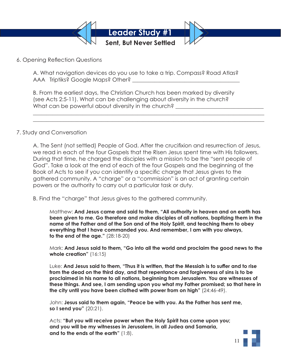

6. Opening Reflection Questions

A. What navigation devices do you use to take a trip. Compass? Road Atlas? AAA Triptiks? Google Maps? Other?

B. From the earliest days, the Christian Church has been marked by diversity (see Acts 2:5-11). What can be challenging about diversity in the church? What can be powerful about diversity in the church?

### 7. Study and Conversation

A. The Sent (not settled) People of God. After the crucifixion and resurrection of Jesus, we read in each of the four Gospels that the Risen Jesus spent time with His followers. During that time, he charged the disciples with a mission to be the "sent people of God". Take a look at the end of each of the four Gospels and the beginning of the Book of Acts to see if you can identify a specific charge that Jesus gives to the gathered community. A "charge" or a "commission" is an act of granting certain powers or the authority to carry out a particular task or duty.

 $\_$  , and the set of the set of the set of the set of the set of the set of the set of the set of the set of the set of the set of the set of the set of the set of the set of the set of the set of the set of the set of th  $\_$  , and the set of the set of the set of the set of the set of the set of the set of the set of the set of the set of the set of the set of the set of the set of the set of the set of the set of the set of the set of th

B. Find the "charge" that Jesus gives to the gathered community.

 Matthew: **And Jesus came and said to them, "All authority in heaven and on earth has been given to me. Go therefore and make disciples of all nations, baptizing them in the name of the Father and of the Son and of the Holy Spirit, and teaching them to obey everything that I have commanded you. And remember, I am with you always, to the end of the age."** (28:18-20)

 Mark: **And Jesus said to them, "Go into all the world and proclaim the good news to the whole creation"** (16:15)

 Luke: **And Jesus said to them, "Thus it is written, that the Messiah is to suffer and to rise from the dead on the third day, and that repentance and forgiveness of sins is to be proclaimed in his name to all nations, beginning from Jerusalem. You are witnesses of these things. And see, I am sending upon you what my Father promised; so that here in the city until you have been clothed with power from on high"** (24:46-49).

 John: **Jesus said to them again, "Peace be with you. As the Father has sent me, so I send you"** (20:21).

 Acts: **"But you will receive power when the Holy Spirit has come upon you; and you will be my witnesses in Jerusalem, in all Judea and Samaria, and to the ends of the earth"** (1:8).

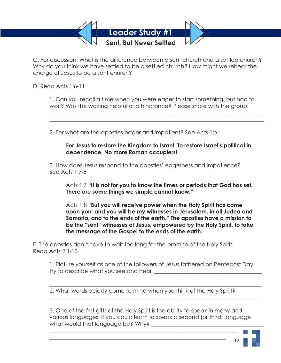

C. For discussion: What is the difference between a sent church and a settled church? Why do you think we have settled to be a settled church? How might we rehear the charge of Jesus to be a sent church?

D. Read Acts 1:6-11

 1. Can you recall a time when you were eager to start something, but had to wait? Was the waiting helpful or a hindrance? Please share with the group.

2. For what are the apostles eager and impatient? See Acts 1:6

 $\mathcal{L}_\mathcal{L} = \mathcal{L}_\mathcal{L} = \mathcal{L}_\mathcal{L} = \mathcal{L}_\mathcal{L} = \mathcal{L}_\mathcal{L} = \mathcal{L}_\mathcal{L} = \mathcal{L}_\mathcal{L} = \mathcal{L}_\mathcal{L} = \mathcal{L}_\mathcal{L} = \mathcal{L}_\mathcal{L} = \mathcal{L}_\mathcal{L} = \mathcal{L}_\mathcal{L} = \mathcal{L}_\mathcal{L} = \mathcal{L}_\mathcal{L} = \mathcal{L}_\mathcal{L} = \mathcal{L}_\mathcal{L} = \mathcal{L}_\mathcal{L}$  $\mathcal{L}_\mathcal{L} = \mathcal{L}_\mathcal{L} = \mathcal{L}_\mathcal{L} = \mathcal{L}_\mathcal{L} = \mathcal{L}_\mathcal{L} = \mathcal{L}_\mathcal{L} = \mathcal{L}_\mathcal{L} = \mathcal{L}_\mathcal{L} = \mathcal{L}_\mathcal{L} = \mathcal{L}_\mathcal{L} = \mathcal{L}_\mathcal{L} = \mathcal{L}_\mathcal{L} = \mathcal{L}_\mathcal{L} = \mathcal{L}_\mathcal{L} = \mathcal{L}_\mathcal{L} = \mathcal{L}_\mathcal{L} = \mathcal{L}_\mathcal{L}$ 

# **For Jesus to restore the Kingdom to Israel. To restore Israel's political in dependence. No more Roman occupiers!**

 3. How does Jesus respond to the apostles' eagerness and impatience? See Acts 1:7-8

 Acts 1:7 **"It is not for you to know the times or periods that God has set. There are some things we simple cannot know."**

 Acts 1:8 **"But you will receive power when the Holy Spirit has come upon you; and you will be my witnesses in Jerusalem, in all Judea and Samaria, and to the ends of the earth." The apostles have a mission to be the "sent" witnesses of Jesus, empowered by the Holy Spirit, to take the message of the Gospel to the ends of the earth.** 

E. The apostles don't have to wait too long for the promise of the Holy Spirit. Read Acts 2:1-13.

 1. Picture yourself as one of the followers of Jesus fathered on Pentecost Day. Try to describe what you see and hear. \_\_\_\_\_\_\_\_\_\_\_\_\_\_\_\_\_\_\_\_\_\_\_\_\_\_\_\_\_\_\_\_\_\_\_\_\_\_\_

2. What words quickly come to mind when you think of the Holy Spirit?

 $\mathcal{L}_\mathcal{L} = \mathcal{L}_\mathcal{L} = \mathcal{L}_\mathcal{L} = \mathcal{L}_\mathcal{L} = \mathcal{L}_\mathcal{L} = \mathcal{L}_\mathcal{L} = \mathcal{L}_\mathcal{L} = \mathcal{L}_\mathcal{L} = \mathcal{L}_\mathcal{L} = \mathcal{L}_\mathcal{L} = \mathcal{L}_\mathcal{L} = \mathcal{L}_\mathcal{L} = \mathcal{L}_\mathcal{L} = \mathcal{L}_\mathcal{L} = \mathcal{L}_\mathcal{L} = \mathcal{L}_\mathcal{L} = \mathcal{L}_\mathcal{L}$  $\mathcal{L}_\mathcal{L} = \mathcal{L}_\mathcal{L} = \mathcal{L}_\mathcal{L} = \mathcal{L}_\mathcal{L} = \mathcal{L}_\mathcal{L} = \mathcal{L}_\mathcal{L} = \mathcal{L}_\mathcal{L} = \mathcal{L}_\mathcal{L} = \mathcal{L}_\mathcal{L} = \mathcal{L}_\mathcal{L} = \mathcal{L}_\mathcal{L} = \mathcal{L}_\mathcal{L} = \mathcal{L}_\mathcal{L} = \mathcal{L}_\mathcal{L} = \mathcal{L}_\mathcal{L} = \mathcal{L}_\mathcal{L} = \mathcal{L}_\mathcal{L}$ 

 $\mathcal{L}_\mathcal{L} = \mathcal{L}_\mathcal{L} = \mathcal{L}_\mathcal{L} = \mathcal{L}_\mathcal{L} = \mathcal{L}_\mathcal{L} = \mathcal{L}_\mathcal{L} = \mathcal{L}_\mathcal{L} = \mathcal{L}_\mathcal{L} = \mathcal{L}_\mathcal{L} = \mathcal{L}_\mathcal{L} = \mathcal{L}_\mathcal{L} = \mathcal{L}_\mathcal{L} = \mathcal{L}_\mathcal{L} = \mathcal{L}_\mathcal{L} = \mathcal{L}_\mathcal{L} = \mathcal{L}_\mathcal{L} = \mathcal{L}_\mathcal{L}$ 

 $\mathcal{L}_\mathcal{L} = \mathcal{L}_\mathcal{L} = \mathcal{L}_\mathcal{L} = \mathcal{L}_\mathcal{L} = \mathcal{L}_\mathcal{L} = \mathcal{L}_\mathcal{L} = \mathcal{L}_\mathcal{L} = \mathcal{L}_\mathcal{L} = \mathcal{L}_\mathcal{L} = \mathcal{L}_\mathcal{L} = \mathcal{L}_\mathcal{L} = \mathcal{L}_\mathcal{L} = \mathcal{L}_\mathcal{L} = \mathcal{L}_\mathcal{L} = \mathcal{L}_\mathcal{L} = \mathcal{L}_\mathcal{L} = \mathcal{L}_\mathcal{L}$  $\mathcal{L}_\text{max}$  , and the contract of the contract of the contract of the contract of the contract of the contract of the contract of the contract of the contract of the contract of the contract of the contract of the contr  $\mathcal{L}_\text{max} = \frac{1}{2} \sum_{i=1}^{n} \frac{1}{2} \sum_{i=1}^{n} \frac{1}{2} \sum_{i=1}^{n} \frac{1}{2} \sum_{i=1}^{n} \frac{1}{2} \sum_{i=1}^{n} \frac{1}{2} \sum_{i=1}^{n} \frac{1}{2} \sum_{i=1}^{n} \frac{1}{2} \sum_{i=1}^{n} \frac{1}{2} \sum_{i=1}^{n} \frac{1}{2} \sum_{i=1}^{n} \frac{1}{2} \sum_{i=1}^{n} \frac{1}{2} \sum_{i=1}^{n} \frac{1$ 

 3. One of the first gifts of the Holy Spirit is the ability to speak in many and various languages. If you could learn to speak a second (or third) language what would that language be? Why?

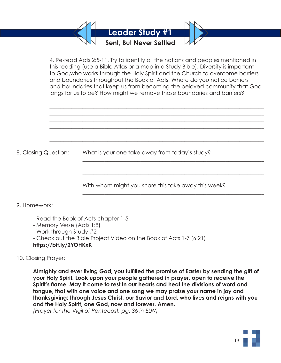

 4. Re-read Acts 2:5-11. Try to identify all the nations and peoples mentioned in this reading (use a Bible Atlas or a map in a Study Bible). Diversity is important to God,who works through the Holy Spirit and the Church to overcome barriers and boundaries throughout the Book of Acts. Where do you notice barriers and boundaries that keep us from becoming the beloved community that God longs for us to be? How might we remove those boundaries and barriers?

 $\mathcal{L}_\mathcal{L} = \mathcal{L}_\mathcal{L} = \mathcal{L}_\mathcal{L} = \mathcal{L}_\mathcal{L} = \mathcal{L}_\mathcal{L} = \mathcal{L}_\mathcal{L} = \mathcal{L}_\mathcal{L} = \mathcal{L}_\mathcal{L} = \mathcal{L}_\mathcal{L} = \mathcal{L}_\mathcal{L} = \mathcal{L}_\mathcal{L} = \mathcal{L}_\mathcal{L} = \mathcal{L}_\mathcal{L} = \mathcal{L}_\mathcal{L} = \mathcal{L}_\mathcal{L} = \mathcal{L}_\mathcal{L} = \mathcal{L}_\mathcal{L}$  $\mathcal{L}_\mathcal{L} = \mathcal{L}_\mathcal{L} = \mathcal{L}_\mathcal{L} = \mathcal{L}_\mathcal{L} = \mathcal{L}_\mathcal{L} = \mathcal{L}_\mathcal{L} = \mathcal{L}_\mathcal{L} = \mathcal{L}_\mathcal{L} = \mathcal{L}_\mathcal{L} = \mathcal{L}_\mathcal{L} = \mathcal{L}_\mathcal{L} = \mathcal{L}_\mathcal{L} = \mathcal{L}_\mathcal{L} = \mathcal{L}_\mathcal{L} = \mathcal{L}_\mathcal{L} = \mathcal{L}_\mathcal{L} = \mathcal{L}_\mathcal{L}$  $\mathcal{L}_\mathcal{L} = \mathcal{L}_\mathcal{L} = \mathcal{L}_\mathcal{L} = \mathcal{L}_\mathcal{L} = \mathcal{L}_\mathcal{L} = \mathcal{L}_\mathcal{L} = \mathcal{L}_\mathcal{L} = \mathcal{L}_\mathcal{L} = \mathcal{L}_\mathcal{L} = \mathcal{L}_\mathcal{L} = \mathcal{L}_\mathcal{L} = \mathcal{L}_\mathcal{L} = \mathcal{L}_\mathcal{L} = \mathcal{L}_\mathcal{L} = \mathcal{L}_\mathcal{L} = \mathcal{L}_\mathcal{L} = \mathcal{L}_\mathcal{L}$  $\mathcal{L}_\mathcal{L} = \mathcal{L}_\mathcal{L} = \mathcal{L}_\mathcal{L} = \mathcal{L}_\mathcal{L} = \mathcal{L}_\mathcal{L} = \mathcal{L}_\mathcal{L} = \mathcal{L}_\mathcal{L} = \mathcal{L}_\mathcal{L} = \mathcal{L}_\mathcal{L} = \mathcal{L}_\mathcal{L} = \mathcal{L}_\mathcal{L} = \mathcal{L}_\mathcal{L} = \mathcal{L}_\mathcal{L} = \mathcal{L}_\mathcal{L} = \mathcal{L}_\mathcal{L} = \mathcal{L}_\mathcal{L} = \mathcal{L}_\mathcal{L}$  $\mathcal{L}_\mathcal{L} = \mathcal{L}_\mathcal{L} = \mathcal{L}_\mathcal{L} = \mathcal{L}_\mathcal{L} = \mathcal{L}_\mathcal{L} = \mathcal{L}_\mathcal{L} = \mathcal{L}_\mathcal{L} = \mathcal{L}_\mathcal{L} = \mathcal{L}_\mathcal{L} = \mathcal{L}_\mathcal{L} = \mathcal{L}_\mathcal{L} = \mathcal{L}_\mathcal{L} = \mathcal{L}_\mathcal{L} = \mathcal{L}_\mathcal{L} = \mathcal{L}_\mathcal{L} = \mathcal{L}_\mathcal{L} = \mathcal{L}_\mathcal{L}$  $\mathcal{L}_\mathcal{L} = \mathcal{L}_\mathcal{L} = \mathcal{L}_\mathcal{L} = \mathcal{L}_\mathcal{L} = \mathcal{L}_\mathcal{L} = \mathcal{L}_\mathcal{L} = \mathcal{L}_\mathcal{L} = \mathcal{L}_\mathcal{L} = \mathcal{L}_\mathcal{L} = \mathcal{L}_\mathcal{L} = \mathcal{L}_\mathcal{L} = \mathcal{L}_\mathcal{L} = \mathcal{L}_\mathcal{L} = \mathcal{L}_\mathcal{L} = \mathcal{L}_\mathcal{L} = \mathcal{L}_\mathcal{L} = \mathcal{L}_\mathcal{L}$  $\mathcal{L}_\mathcal{L} = \mathcal{L}_\mathcal{L} = \mathcal{L}_\mathcal{L} = \mathcal{L}_\mathcal{L} = \mathcal{L}_\mathcal{L} = \mathcal{L}_\mathcal{L} = \mathcal{L}_\mathcal{L} = \mathcal{L}_\mathcal{L} = \mathcal{L}_\mathcal{L} = \mathcal{L}_\mathcal{L} = \mathcal{L}_\mathcal{L} = \mathcal{L}_\mathcal{L} = \mathcal{L}_\mathcal{L} = \mathcal{L}_\mathcal{L} = \mathcal{L}_\mathcal{L} = \mathcal{L}_\mathcal{L} = \mathcal{L}_\mathcal{L}$ 

 $\mathcal{L}_\mathcal{L} = \mathcal{L}_\mathcal{L} = \mathcal{L}_\mathcal{L} = \mathcal{L}_\mathcal{L} = \mathcal{L}_\mathcal{L} = \mathcal{L}_\mathcal{L} = \mathcal{L}_\mathcal{L} = \mathcal{L}_\mathcal{L} = \mathcal{L}_\mathcal{L} = \mathcal{L}_\mathcal{L} = \mathcal{L}_\mathcal{L} = \mathcal{L}_\mathcal{L} = \mathcal{L}_\mathcal{L} = \mathcal{L}_\mathcal{L} = \mathcal{L}_\mathcal{L} = \mathcal{L}_\mathcal{L} = \mathcal{L}_\mathcal{L}$  $\mathcal{L}_\mathcal{L} = \mathcal{L}_\mathcal{L} = \mathcal{L}_\mathcal{L} = \mathcal{L}_\mathcal{L} = \mathcal{L}_\mathcal{L} = \mathcal{L}_\mathcal{L} = \mathcal{L}_\mathcal{L} = \mathcal{L}_\mathcal{L} = \mathcal{L}_\mathcal{L} = \mathcal{L}_\mathcal{L} = \mathcal{L}_\mathcal{L} = \mathcal{L}_\mathcal{L} = \mathcal{L}_\mathcal{L} = \mathcal{L}_\mathcal{L} = \mathcal{L}_\mathcal{L} = \mathcal{L}_\mathcal{L} = \mathcal{L}_\mathcal{L}$  $\mathcal{L}_\mathcal{L} = \mathcal{L}_\mathcal{L} = \mathcal{L}_\mathcal{L} = \mathcal{L}_\mathcal{L} = \mathcal{L}_\mathcal{L} = \mathcal{L}_\mathcal{L} = \mathcal{L}_\mathcal{L} = \mathcal{L}_\mathcal{L} = \mathcal{L}_\mathcal{L} = \mathcal{L}_\mathcal{L} = \mathcal{L}_\mathcal{L} = \mathcal{L}_\mathcal{L} = \mathcal{L}_\mathcal{L} = \mathcal{L}_\mathcal{L} = \mathcal{L}_\mathcal{L} = \mathcal{L}_\mathcal{L} = \mathcal{L}_\mathcal{L}$ 

 $\mathcal{L}_\mathcal{L} = \mathcal{L}_\mathcal{L} = \mathcal{L}_\mathcal{L} = \mathcal{L}_\mathcal{L} = \mathcal{L}_\mathcal{L} = \mathcal{L}_\mathcal{L} = \mathcal{L}_\mathcal{L} = \mathcal{L}_\mathcal{L} = \mathcal{L}_\mathcal{L} = \mathcal{L}_\mathcal{L} = \mathcal{L}_\mathcal{L} = \mathcal{L}_\mathcal{L} = \mathcal{L}_\mathcal{L} = \mathcal{L}_\mathcal{L} = \mathcal{L}_\mathcal{L} = \mathcal{L}_\mathcal{L} = \mathcal{L}_\mathcal{L}$ 

8. Closing Question: What is your one take away from today's study?

With whom might you share this take away this week?

# 9. Homework:

- Read the Book of Acts chapter 1-5
- Memory Verse (Acts 1:8)
- Work through Study #2
- Check out the Bible Project Video on the Book of Acts 1-7 (6:21)

### **https://bit.ly/2YOHKxK**

# 10. Closing Prayer:

**Almighty and ever living God, you fulfilled the promise of Easter by sending the gift of your Holy Spirit. Look upon your people gathered in prayer, open to receive the Spirit's flame. May it come to rest in our hearts and heal the divisions of word and tongue, that with one voice and one song we may praise your name in joy and thanksgiving; through Jesus Christ, our Savior and Lord, who lives and reigns with you and the Holy Spirit, one God, now and forever. Amen.** 

*(Prayer for the Vigil of Pentecost, pg. 36 in ELW)*

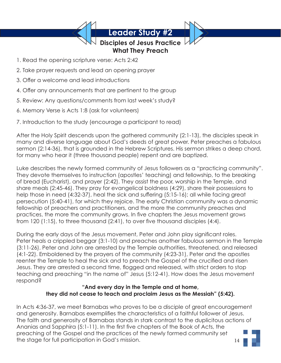# **Disciples of Jesus Practice What They Preach**

- 1. Read the opening scripture verse: Acts 2:42
- 2. Take prayer requests and lead an opening prayer
- 3. Offer a welcome and lead introductions
- 4. Offer any announcements that are pertinent to the group
- 5. Review: Any questions/comments from last week's study?
- 6. Memory Verse is Acts 1:8 (ask for volunteers)
- 7. Introduction to the study (encourage a participant to read)

After the Holy Spirit descends upon the gathered community (2:1-13), the disciples speak in many and diverse language about God's deeds of great power. Peter preaches a fabulous sermon (2:14-36), that is grounded in the Hebrew Scriptures. His sermon strikes a deep chord, for many who hear it (three thousand people) repent and are baptized.

Luke describes the newly formed community of Jesus followers as a "practicing community". They devote themselves to instruction (apostles' teaching) and fellowship, to the breaking of bread (Eucharist), and prayer (2:42). They assist the poor, worship in the Temple, and share meals (2:45-46). They pray for evangelical boldness (4:29), share their possessions to help those in need (4:32-37), heal the sick and suffering (5:15-16); all while facing great persecution (5:40-41), for which they rejoice. The early Christian community was a dynamic fellowship of preachers and practitioners, and the more the community preaches and practices, the more the community grows. In five chapters the Jesus movement grows from 120 (1:15), to three thousand (2:41), to over five thousand disciples (4:4).

During the early days of the Jesus movement, Peter and John play significant roles. Peter heals a crippled beggar (3:1-10) and preaches another fabulous sermon in the Temple (3:11-26). Peter and John are arrested by the Temple authorities, threatened, and released (4:1-22). Emboldened by the prayers of the community (4:23-31), Peter and the apostles reenter the Temple to heal the sick and to preach the Gospel of the crucified and risen Jesus. They are arrested a second time, flogged and released, with strict orders to stop teaching and preaching "in the name of" Jesus (5:12-41). How does the Jesus movement respond?

# **"And every day in the Temple and at home, they did not cease to teach and proclaim Jesus as the Messiah" (5:42).**

In Acts 4:36-37, we meet Barnabas who proves to be a disciple of great encouragement and generosity. Barnabas exemplifies the characteristics of a faithful follower of Jesus. The faith and generosity of Barnabas stands in stark contrast to the duplicitous actions of Ananias and Sapphira (5:1-11). In the first five chapters of the Book of Acts, the preaching of the Gospel and the practices of the newly formed community set the stage for full participation in God's mission.

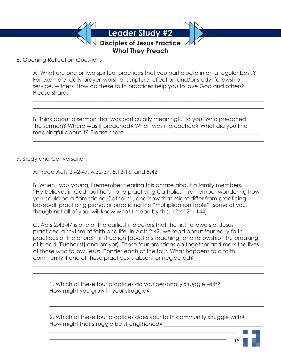**Disciples of Jesus Practice**

**What They Preach**

8. Opening Reflection Questions

A. What are one or two spiritual practices that you participate in on a regular basis? For example: daily prayer, worship, scripture reflection and/or study, fellowship, service, witness. How do these faith practices help you to love God and others? Please share. \_\_\_\_\_\_\_\_\_\_\_\_\_\_\_\_\_\_\_\_\_\_\_\_\_\_\_\_\_\_\_\_\_\_\_\_\_\_\_\_\_\_\_\_\_\_\_\_\_\_\_\_\_\_\_\_\_\_\_\_\_\_\_\_\_\_\_\_\_\_

 $\_$  , and the set of the set of the set of the set of the set of the set of the set of the set of the set of the set of the set of the set of the set of the set of the set of the set of the set of the set of the set of th  $\_$  , and the set of the set of the set of the set of the set of the set of the set of the set of the set of the set of the set of the set of the set of the set of the set of the set of the set of the set of the set of th

 $\_$  , and the set of the set of the set of the set of the set of the set of the set of the set of the set of the set of the set of the set of the set of the set of the set of the set of the set of the set of the set of th  $\_$  , and the set of the set of the set of the set of the set of the set of the set of the set of the set of the set of the set of the set of the set of the set of the set of the set of the set of the set of the set of th

B. Think about a sermon that was particularly meaningful to you. Who preached the sermon? Where was it preached? When was it preached? What did you find meaningful about it? Please share. \_\_\_\_\_\_\_\_\_\_\_\_\_\_\_\_\_\_\_\_\_\_\_\_\_\_\_\_\_\_\_\_\_\_\_\_\_\_\_\_\_\_\_\_\_\_\_\_\_

# 9. Study and Conversation

A. Read Acts 2:42-47; 4:32-37; 5:12-16; and 5:42

B. When I was young, I remember hearing this phrase about a family members, "He believes in God, but he's not a practicing Catholic." I remember wondering how you could be a "practicing Catholic", and how that might differ from practicing baseball, practicing piano, or practicing the "multiplication table" (some of you, though not all of you, will know what I mean by this.  $12 \times 12 = 144$ .

C. Acts 2:42-47 is one of the earliest indicators that the first followers of Jesus practiced a rhythm of faith and life. In Acts 2:42, we read about four early faith practices of the church (instruction [apostle's teaching] and fellowship, the breaking of bread [Eucharist] and prayer). These four practices go together and mark the lives of those who follow Jesus. Ponder each of the four. What happens to a faith community if one of these practices is absent or neglected?

 $\_$  , and the set of the set of the set of the set of the set of the set of the set of the set of the set of the set of the set of the set of the set of the set of the set of the set of the set of the set of the set of th  $\_$  , and the set of the set of the set of the set of the set of the set of the set of the set of the set of the set of the set of the set of the set of the set of the set of the set of the set of the set of the set of th

 1. Which of these four practices do you personally struggle with? How might you grow in your struggle?

 $\mathcal{L}_\text{max}$  , and the contract of the contract of the contract of the contract of the contract of the contract of the contract of the contract of the contract of the contract of the contract of the contract of the contr  $\mathcal{L}_\text{max} = \frac{1}{2} \sum_{i=1}^{n} \frac{1}{2} \sum_{i=1}^{n} \frac{1}{2} \sum_{i=1}^{n} \frac{1}{2} \sum_{i=1}^{n} \frac{1}{2} \sum_{i=1}^{n} \frac{1}{2} \sum_{i=1}^{n} \frac{1}{2} \sum_{i=1}^{n} \frac{1}{2} \sum_{i=1}^{n} \frac{1}{2} \sum_{i=1}^{n} \frac{1}{2} \sum_{i=1}^{n} \frac{1}{2} \sum_{i=1}^{n} \frac{1}{2} \sum_{i=1}^{n} \frac{1$ 

 $\mathcal{L}_\mathcal{L} = \mathcal{L}_\mathcal{L} = \mathcal{L}_\mathcal{L} = \mathcal{L}_\mathcal{L} = \mathcal{L}_\mathcal{L} = \mathcal{L}_\mathcal{L} = \mathcal{L}_\mathcal{L} = \mathcal{L}_\mathcal{L} = \mathcal{L}_\mathcal{L} = \mathcal{L}_\mathcal{L} = \mathcal{L}_\mathcal{L} = \mathcal{L}_\mathcal{L} = \mathcal{L}_\mathcal{L} = \mathcal{L}_\mathcal{L} = \mathcal{L}_\mathcal{L} = \mathcal{L}_\mathcal{L} = \mathcal{L}_\mathcal{L}$  $\mathcal{L}_\mathcal{L} = \mathcal{L}_\mathcal{L} = \mathcal{L}_\mathcal{L} = \mathcal{L}_\mathcal{L} = \mathcal{L}_\mathcal{L} = \mathcal{L}_\mathcal{L} = \mathcal{L}_\mathcal{L} = \mathcal{L}_\mathcal{L} = \mathcal{L}_\mathcal{L} = \mathcal{L}_\mathcal{L} = \mathcal{L}_\mathcal{L} = \mathcal{L}_\mathcal{L} = \mathcal{L}_\mathcal{L} = \mathcal{L}_\mathcal{L} = \mathcal{L}_\mathcal{L} = \mathcal{L}_\mathcal{L} = \mathcal{L}_\mathcal{L}$ 

> 2. Which of these four practices does your faith community struggle with? How might that struggle be strengthened?

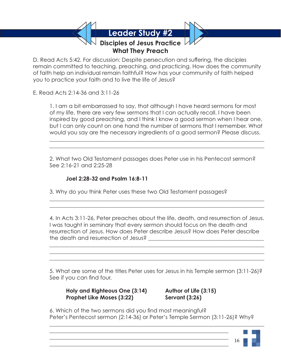**Disciples of Jesus Practice What They Preach**

D. Read Acts 5:42. For discussion: Despite persecution and suffering, the disciples remain committed to teaching, preaching, and practicing. How does the community of faith help an individual remain faithful? How has your community of faith helped you to practice your faith and to live the life of Jesus?

E. Read Acts 2:14-36 and 3:11-26

 1. I am a bit embarrassed to say, that although I have heard sermons for most of my life, there are very few sermons that I can actually recall. I have been inspired by good preaching, and I think I know a good sermon when I hear one, but I can only count on one hand the number of sermons that I remember. What would you say are the necessary ingredients of a good sermon? Please discuss.

 2. What two Old Testament passages does Peter use in his Pentecost sermon? See 2:16-21 and 2:25-28

# **Joel 2:28-32 and Psalm 16:8-11**

 3. Why do you think Peter uses these two Old Testament passages?  $\mathcal{L}_\mathcal{L} = \mathcal{L}_\mathcal{L} = \mathcal{L}_\mathcal{L} = \mathcal{L}_\mathcal{L} = \mathcal{L}_\mathcal{L} = \mathcal{L}_\mathcal{L} = \mathcal{L}_\mathcal{L} = \mathcal{L}_\mathcal{L} = \mathcal{L}_\mathcal{L} = \mathcal{L}_\mathcal{L} = \mathcal{L}_\mathcal{L} = \mathcal{L}_\mathcal{L} = \mathcal{L}_\mathcal{L} = \mathcal{L}_\mathcal{L} = \mathcal{L}_\mathcal{L} = \mathcal{L}_\mathcal{L} = \mathcal{L}_\mathcal{L}$ 

 $\mathcal{L}_\mathcal{L} = \mathcal{L}_\mathcal{L} = \mathcal{L}_\mathcal{L} = \mathcal{L}_\mathcal{L} = \mathcal{L}_\mathcal{L} = \mathcal{L}_\mathcal{L} = \mathcal{L}_\mathcal{L} = \mathcal{L}_\mathcal{L} = \mathcal{L}_\mathcal{L} = \mathcal{L}_\mathcal{L} = \mathcal{L}_\mathcal{L} = \mathcal{L}_\mathcal{L} = \mathcal{L}_\mathcal{L} = \mathcal{L}_\mathcal{L} = \mathcal{L}_\mathcal{L} = \mathcal{L}_\mathcal{L} = \mathcal{L}_\mathcal{L}$ 

 $\mathcal{L}_\mathcal{L} = \mathcal{L}_\mathcal{L} = \mathcal{L}_\mathcal{L} = \mathcal{L}_\mathcal{L} = \mathcal{L}_\mathcal{L} = \mathcal{L}_\mathcal{L} = \mathcal{L}_\mathcal{L} = \mathcal{L}_\mathcal{L} = \mathcal{L}_\mathcal{L} = \mathcal{L}_\mathcal{L} = \mathcal{L}_\mathcal{L} = \mathcal{L}_\mathcal{L} = \mathcal{L}_\mathcal{L} = \mathcal{L}_\mathcal{L} = \mathcal{L}_\mathcal{L} = \mathcal{L}_\mathcal{L} = \mathcal{L}_\mathcal{L}$  $\mathcal{L}_\mathcal{L} = \mathcal{L}_\mathcal{L} = \mathcal{L}_\mathcal{L} = \mathcal{L}_\mathcal{L} = \mathcal{L}_\mathcal{L} = \mathcal{L}_\mathcal{L} = \mathcal{L}_\mathcal{L} = \mathcal{L}_\mathcal{L} = \mathcal{L}_\mathcal{L} = \mathcal{L}_\mathcal{L} = \mathcal{L}_\mathcal{L} = \mathcal{L}_\mathcal{L} = \mathcal{L}_\mathcal{L} = \mathcal{L}_\mathcal{L} = \mathcal{L}_\mathcal{L} = \mathcal{L}_\mathcal{L} = \mathcal{L}_\mathcal{L}$  $\mathcal{L}_\mathcal{L} = \mathcal{L}_\mathcal{L} = \mathcal{L}_\mathcal{L} = \mathcal{L}_\mathcal{L} = \mathcal{L}_\mathcal{L} = \mathcal{L}_\mathcal{L} = \mathcal{L}_\mathcal{L} = \mathcal{L}_\mathcal{L} = \mathcal{L}_\mathcal{L} = \mathcal{L}_\mathcal{L} = \mathcal{L}_\mathcal{L} = \mathcal{L}_\mathcal{L} = \mathcal{L}_\mathcal{L} = \mathcal{L}_\mathcal{L} = \mathcal{L}_\mathcal{L} = \mathcal{L}_\mathcal{L} = \mathcal{L}_\mathcal{L}$ 

 $\mathcal{L}_\mathcal{L} = \mathcal{L}_\mathcal{L} = \mathcal{L}_\mathcal{L} = \mathcal{L}_\mathcal{L} = \mathcal{L}_\mathcal{L} = \mathcal{L}_\mathcal{L} = \mathcal{L}_\mathcal{L} = \mathcal{L}_\mathcal{L} = \mathcal{L}_\mathcal{L} = \mathcal{L}_\mathcal{L} = \mathcal{L}_\mathcal{L} = \mathcal{L}_\mathcal{L} = \mathcal{L}_\mathcal{L} = \mathcal{L}_\mathcal{L} = \mathcal{L}_\mathcal{L} = \mathcal{L}_\mathcal{L} = \mathcal{L}_\mathcal{L}$  $\mathcal{L}_\mathcal{L} = \mathcal{L}_\mathcal{L} = \mathcal{L}_\mathcal{L} = \mathcal{L}_\mathcal{L} = \mathcal{L}_\mathcal{L} = \mathcal{L}_\mathcal{L} = \mathcal{L}_\mathcal{L} = \mathcal{L}_\mathcal{L} = \mathcal{L}_\mathcal{L} = \mathcal{L}_\mathcal{L} = \mathcal{L}_\mathcal{L} = \mathcal{L}_\mathcal{L} = \mathcal{L}_\mathcal{L} = \mathcal{L}_\mathcal{L} = \mathcal{L}_\mathcal{L} = \mathcal{L}_\mathcal{L} = \mathcal{L}_\mathcal{L}$ 

> 4. In Acts 3:11-26, Peter preaches about the life, death, and resurrection of Jesus. I was taught in seminary that every sermon should focus on the death and resurrection of Jesus. How does Peter describe Jesus? How does Peter describe the death and resurrection of Jesus? \_\_\_\_\_\_\_\_\_\_\_\_\_\_\_\_\_\_\_\_\_\_\_\_\_\_\_\_\_\_\_\_\_\_\_\_\_\_\_\_\_\_

> 5. What are some of the titles Peter uses for Jesus in his Temple sermon (3:11-26)? See if you can find four.

 **Holy and Righteous One (3:14) Author of Life (3:15) Prophet Like Moses (3:22) Servant (3:26)** 

 $\mathcal{L}_\mathcal{L} = \mathcal{L}_\mathcal{L} = \mathcal{L}_\mathcal{L} = \mathcal{L}_\mathcal{L} = \mathcal{L}_\mathcal{L} = \mathcal{L}_\mathcal{L} = \mathcal{L}_\mathcal{L} = \mathcal{L}_\mathcal{L} = \mathcal{L}_\mathcal{L} = \mathcal{L}_\mathcal{L} = \mathcal{L}_\mathcal{L} = \mathcal{L}_\mathcal{L} = \mathcal{L}_\mathcal{L} = \mathcal{L}_\mathcal{L} = \mathcal{L}_\mathcal{L} = \mathcal{L}_\mathcal{L} = \mathcal{L}_\mathcal{L}$  $\mathcal{L}_\mathcal{L} = \mathcal{L}_\mathcal{L} = \mathcal{L}_\mathcal{L} = \mathcal{L}_\mathcal{L} = \mathcal{L}_\mathcal{L} = \mathcal{L}_\mathcal{L} = \mathcal{L}_\mathcal{L} = \mathcal{L}_\mathcal{L} = \mathcal{L}_\mathcal{L} = \mathcal{L}_\mathcal{L} = \mathcal{L}_\mathcal{L} = \mathcal{L}_\mathcal{L} = \mathcal{L}_\mathcal{L} = \mathcal{L}_\mathcal{L} = \mathcal{L}_\mathcal{L} = \mathcal{L}_\mathcal{L} = \mathcal{L}_\mathcal{L}$ 

 6. Which of the two sermons did you find most meaningful? Peter's Pentecost sermon (2:14-36) or Peter's Temple Sermon (3:11-26)? Why?

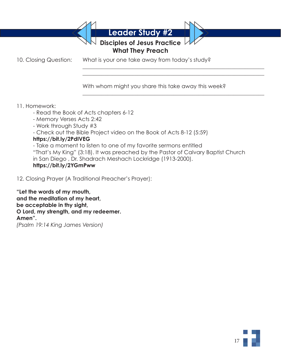**Disciples of Jesus Practice**

17

# **What They Preach**

10. Closing Question: What is your one take away from today's study?  $\mathcal{L}_\mathcal{L} = \mathcal{L}_\mathcal{L} = \mathcal{L}_\mathcal{L} = \mathcal{L}_\mathcal{L} = \mathcal{L}_\mathcal{L} = \mathcal{L}_\mathcal{L} = \mathcal{L}_\mathcal{L} = \mathcal{L}_\mathcal{L} = \mathcal{L}_\mathcal{L} = \mathcal{L}_\mathcal{L} = \mathcal{L}_\mathcal{L} = \mathcal{L}_\mathcal{L} = \mathcal{L}_\mathcal{L} = \mathcal{L}_\mathcal{L} = \mathcal{L}_\mathcal{L} = \mathcal{L}_\mathcal{L} = \mathcal{L}_\mathcal{L}$ 

 $\mathcal{L}_\mathcal{L} = \mathcal{L}_\mathcal{L} = \mathcal{L}_\mathcal{L} = \mathcal{L}_\mathcal{L} = \mathcal{L}_\mathcal{L} = \mathcal{L}_\mathcal{L} = \mathcal{L}_\mathcal{L} = \mathcal{L}_\mathcal{L} = \mathcal{L}_\mathcal{L} = \mathcal{L}_\mathcal{L} = \mathcal{L}_\mathcal{L} = \mathcal{L}_\mathcal{L} = \mathcal{L}_\mathcal{L} = \mathcal{L}_\mathcal{L} = \mathcal{L}_\mathcal{L} = \mathcal{L}_\mathcal{L} = \mathcal{L}_\mathcal{L}$ 

 $\mathcal{L}_\mathcal{L} = \mathcal{L}_\mathcal{L} = \mathcal{L}_\mathcal{L} = \mathcal{L}_\mathcal{L} = \mathcal{L}_\mathcal{L} = \mathcal{L}_\mathcal{L} = \mathcal{L}_\mathcal{L} = \mathcal{L}_\mathcal{L} = \mathcal{L}_\mathcal{L} = \mathcal{L}_\mathcal{L} = \mathcal{L}_\mathcal{L} = \mathcal{L}_\mathcal{L} = \mathcal{L}_\mathcal{L} = \mathcal{L}_\mathcal{L} = \mathcal{L}_\mathcal{L} = \mathcal{L}_\mathcal{L} = \mathcal{L}_\mathcal{L}$ 

With whom might you share this take away this week?

# 11. Homework:

- Read the Book of Acts chapters 6-12
- Memory Verses Acts 2:42
- Work through Study #3
- Check out the Bible Project video on the Book of Acts 8-12 (5:59)

# **https://bit.ly/2PdIVEG**

- Take a moment to listen to one of my favorite sermons entitled "That's My King" (3:18). It was preached by the Pastor of Calvary Baptist Church in San Diego , Dr. Shadrach Meshach Lockridge (1913-2000). **https://bit.ly/2YGmPww**

12. Closing Prayer (A Traditional Preacher's Prayer):

**"Let the words of my mouth, and the meditation of my heart, be acceptable in thy sight, O Lord, my strength, and my redeemer. Amen".** *(Psalm 19:14 King James Version)*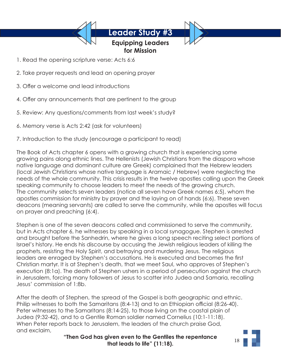# **Equipping Leaders for Mission**

- 1. Read the opening scripture verse: Acts 6:6
- 2. Take prayer requests and lead an opening prayer
- 3. Offer a welcome and lead introductions
- 4. Offer any announcements that are pertinent to the group
- 5. Review: Any questions/comments from last week's study?
- 6. Memory verse is Acts 2:42 (ask for volunteers)
- 7. Introduction to the study (encourage a participant to read)

The Book of Acts chapter 6 opens with a growing church that is experiencing some growing pains along ethnic lines. The Hellenists (Jewish Christians from the diaspora whose native language and dominant culture are Greek) complained that the Hebrew leaders (local Jewish Christians whose native language is Aramaic / Hebrew) were neglecting the needs of the whole community. This crisis results in the twelve apostles calling upon the Greek speaking community to choose leaders to meet the needs of the growing church. The community selects seven leaders (notice all seven have Greek names 6:5), whom the apostles commission for ministry by prayer and the laying on of hands (6:6). These seven deacons (meaning servants) are called to serve the community, while the apostles will focus on prayer and preaching (6:4).

Stephen is one of the seven deacons called and commissioned to serve the community, but in Acts chapter 6, he witnesses by speaking in a local synagogue. Stephen is arrested and brought before the Sanhedrin, where he gives a long speech reciting select portions of Israel's history. He ends his discourse by accusing the Jewish religious leaders of killing the prophets, resisting the Holy Spirit, and betraying and murdering Jesus. The religious leaders are enraged by Stephen's accusations. He is executed and becomes the first Christian martyr. It is at Stephen's death, that we meet Saul, who approves of Stephen's execution (8:1a). The death of Stephen ushers in a period of persecution against the church in Jerusalem, forcing many followers of Jesus to scatter into Judea and Samaria, recalling Jesus' commission of 1:8b.

After the death of Stephen, the spread of the Gospel is both geographic and ethnic. Philip witnesses to both the Samaritans (8:4-13) and to an Ethiopian official (8:26-40). Peter witnesses to the Samaritans (8:14-25), to those living on the coastal plain of Judea (9:32-42), and to a Gentile Roman soldier named Cornelius (10:1-11:18). When Peter reports back to Jerusalem, the leaders of the church praise God, and exclaim,

**"Then God has given even to the Gentiles the repentance that leads to life" (11:18).** 

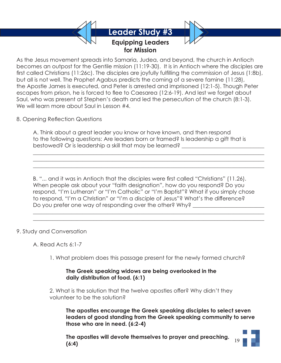

As the Jesus movement spreads into Samaria, Judea, and beyond, the church in Antioch becomes an outpost for the Gentile mission (11:19-30). It is in Antioch where the disciples are first called Christians (11:26c). The disciples are joyfully fulfilling the commission of Jesus (1:8b), but all is not well. The Prophet Agabus predicts the coming of a severe famine (11:28), the Apostle James is executed, and Peter is arrested and imprisoned (12:1-5). Though Peter escapes from prison, he is forced to flee to Caesarea (12:6-19). And lest we forget about Saul, who was present at Stephen's death and led the persecution of the church (8:1-3). We will learn more about Saul in Lesson #4.

8. Opening Reflection Questions

A. Think about a great leader you know or have known, and then respond to the following questions: Are leaders born or framed? Is leadership a gift that is bestowed? Or is leadership a skill that may be learned?

 $\_$  , and the set of the set of the set of the set of the set of the set of the set of the set of the set of the set of the set of the set of the set of the set of the set of the set of the set of the set of the set of th  $\_$  , and the set of the set of the set of the set of the set of the set of the set of the set of the set of the set of the set of the set of the set of the set of the set of the set of the set of the set of the set of th  $\_$  , and the set of the set of the set of the set of the set of the set of the set of the set of the set of the set of the set of the set of the set of the set of the set of the set of the set of the set of the set of th

B. "... and it was in Antioch that the disciples were first called "Christians" (11.26). When people ask about your "faith designation", how do you respond? Do you respond, "I'm Lutheran" or "I'm Catholic" or "I'm Baptist"? What if you simply chose to respond, "I'm a Christian" or "I'm a disciple of Jesus"? What's the difference? Do you prefer one way of responding over the other? Why?

 $\_$  , and the set of the set of the set of the set of the set of the set of the set of the set of the set of the set of the set of the set of the set of the set of the set of the set of the set of the set of the set of th  $\_$  , and the set of the set of the set of the set of the set of the set of the set of the set of the set of the set of the set of the set of the set of the set of the set of the set of the set of the set of the set of th

9. Study and Conversation

A. Read Acts 6:1-7

1. What problem does this passage present for the newly formed church?

 **The Greek speaking widows are being overlooked in the daily distribution of food. (6:1)**

2. What is the solution that the twelve apostles offer? Why didn't they volunteer to be the solution?

 **The apostles encourage the Greek speaking disciples to select seven leaders of good standing from the Greek speaking community to serve those who are in need. (6:2-4)**

 **The apostles will devote themselves to prayer and preaching. (6:4)**

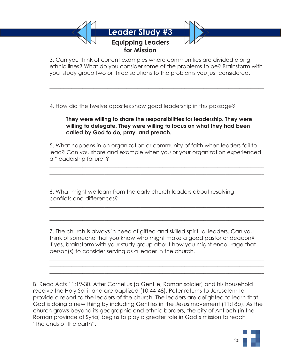

 3. Can you think of current examples where communities are divided along ethnic lines? What do you consider some of the problems to be? Brainstorm with your study group two or three solutions to the problems you just considered.

4. How did the twelve apostles show good leadership in this passage?

 $\mathcal{L}_\mathcal{L} = \mathcal{L}_\mathcal{L} = \mathcal{L}_\mathcal{L} = \mathcal{L}_\mathcal{L} = \mathcal{L}_\mathcal{L} = \mathcal{L}_\mathcal{L} = \mathcal{L}_\mathcal{L} = \mathcal{L}_\mathcal{L} = \mathcal{L}_\mathcal{L} = \mathcal{L}_\mathcal{L} = \mathcal{L}_\mathcal{L} = \mathcal{L}_\mathcal{L} = \mathcal{L}_\mathcal{L} = \mathcal{L}_\mathcal{L} = \mathcal{L}_\mathcal{L} = \mathcal{L}_\mathcal{L} = \mathcal{L}_\mathcal{L}$  $\mathcal{L}_\mathcal{L} = \mathcal{L}_\mathcal{L} = \mathcal{L}_\mathcal{L} = \mathcal{L}_\mathcal{L} = \mathcal{L}_\mathcal{L} = \mathcal{L}_\mathcal{L} = \mathcal{L}_\mathcal{L} = \mathcal{L}_\mathcal{L} = \mathcal{L}_\mathcal{L} = \mathcal{L}_\mathcal{L} = \mathcal{L}_\mathcal{L} = \mathcal{L}_\mathcal{L} = \mathcal{L}_\mathcal{L} = \mathcal{L}_\mathcal{L} = \mathcal{L}_\mathcal{L} = \mathcal{L}_\mathcal{L} = \mathcal{L}_\mathcal{L}$  $\mathcal{L}_\mathcal{L} = \mathcal{L}_\mathcal{L} = \mathcal{L}_\mathcal{L} = \mathcal{L}_\mathcal{L} = \mathcal{L}_\mathcal{L} = \mathcal{L}_\mathcal{L} = \mathcal{L}_\mathcal{L} = \mathcal{L}_\mathcal{L} = \mathcal{L}_\mathcal{L} = \mathcal{L}_\mathcal{L} = \mathcal{L}_\mathcal{L} = \mathcal{L}_\mathcal{L} = \mathcal{L}_\mathcal{L} = \mathcal{L}_\mathcal{L} = \mathcal{L}_\mathcal{L} = \mathcal{L}_\mathcal{L} = \mathcal{L}_\mathcal{L}$ 

# **They were willing to share the responsibilities for leadership. They were willing to delegate. They were willing to focus on what they had been called by God to do, pray, and preach.**

 5. What happens in an organization or community of faith when leaders fail to lead? Can you share and example when you or your organization experienced a "leadership failure"?

 6. What might we learn from the early church leaders about resolving conflicts and differences?

 $\mathcal{L}_\mathcal{L} = \mathcal{L}_\mathcal{L} = \mathcal{L}_\mathcal{L} = \mathcal{L}_\mathcal{L} = \mathcal{L}_\mathcal{L} = \mathcal{L}_\mathcal{L} = \mathcal{L}_\mathcal{L} = \mathcal{L}_\mathcal{L} = \mathcal{L}_\mathcal{L} = \mathcal{L}_\mathcal{L} = \mathcal{L}_\mathcal{L} = \mathcal{L}_\mathcal{L} = \mathcal{L}_\mathcal{L} = \mathcal{L}_\mathcal{L} = \mathcal{L}_\mathcal{L} = \mathcal{L}_\mathcal{L} = \mathcal{L}_\mathcal{L}$  $\mathcal{L}_\mathcal{L} = \mathcal{L}_\mathcal{L} = \mathcal{L}_\mathcal{L} = \mathcal{L}_\mathcal{L} = \mathcal{L}_\mathcal{L} = \mathcal{L}_\mathcal{L} = \mathcal{L}_\mathcal{L} = \mathcal{L}_\mathcal{L} = \mathcal{L}_\mathcal{L} = \mathcal{L}_\mathcal{L} = \mathcal{L}_\mathcal{L} = \mathcal{L}_\mathcal{L} = \mathcal{L}_\mathcal{L} = \mathcal{L}_\mathcal{L} = \mathcal{L}_\mathcal{L} = \mathcal{L}_\mathcal{L} = \mathcal{L}_\mathcal{L}$  $\mathcal{L}_\mathcal{L} = \mathcal{L}_\mathcal{L} = \mathcal{L}_\mathcal{L} = \mathcal{L}_\mathcal{L} = \mathcal{L}_\mathcal{L} = \mathcal{L}_\mathcal{L} = \mathcal{L}_\mathcal{L} = \mathcal{L}_\mathcal{L} = \mathcal{L}_\mathcal{L} = \mathcal{L}_\mathcal{L} = \mathcal{L}_\mathcal{L} = \mathcal{L}_\mathcal{L} = \mathcal{L}_\mathcal{L} = \mathcal{L}_\mathcal{L} = \mathcal{L}_\mathcal{L} = \mathcal{L}_\mathcal{L} = \mathcal{L}_\mathcal{L}$ 

 $\mathcal{L}_\mathcal{L} = \mathcal{L}_\mathcal{L} = \mathcal{L}_\mathcal{L} = \mathcal{L}_\mathcal{L} = \mathcal{L}_\mathcal{L} = \mathcal{L}_\mathcal{L} = \mathcal{L}_\mathcal{L} = \mathcal{L}_\mathcal{L} = \mathcal{L}_\mathcal{L} = \mathcal{L}_\mathcal{L} = \mathcal{L}_\mathcal{L} = \mathcal{L}_\mathcal{L} = \mathcal{L}_\mathcal{L} = \mathcal{L}_\mathcal{L} = \mathcal{L}_\mathcal{L} = \mathcal{L}_\mathcal{L} = \mathcal{L}_\mathcal{L}$  $\mathcal{L}_\mathcal{L} = \mathcal{L}_\mathcal{L} = \mathcal{L}_\mathcal{L} = \mathcal{L}_\mathcal{L} = \mathcal{L}_\mathcal{L} = \mathcal{L}_\mathcal{L} = \mathcal{L}_\mathcal{L} = \mathcal{L}_\mathcal{L} = \mathcal{L}_\mathcal{L} = \mathcal{L}_\mathcal{L} = \mathcal{L}_\mathcal{L} = \mathcal{L}_\mathcal{L} = \mathcal{L}_\mathcal{L} = \mathcal{L}_\mathcal{L} = \mathcal{L}_\mathcal{L} = \mathcal{L}_\mathcal{L} = \mathcal{L}_\mathcal{L}$  $\mathcal{L}_\mathcal{L} = \mathcal{L}_\mathcal{L} = \mathcal{L}_\mathcal{L} = \mathcal{L}_\mathcal{L} = \mathcal{L}_\mathcal{L} = \mathcal{L}_\mathcal{L} = \mathcal{L}_\mathcal{L} = \mathcal{L}_\mathcal{L} = \mathcal{L}_\mathcal{L} = \mathcal{L}_\mathcal{L} = \mathcal{L}_\mathcal{L} = \mathcal{L}_\mathcal{L} = \mathcal{L}_\mathcal{L} = \mathcal{L}_\mathcal{L} = \mathcal{L}_\mathcal{L} = \mathcal{L}_\mathcal{L} = \mathcal{L}_\mathcal{L}$ 

 $\mathcal{L}_\mathcal{L} = \mathcal{L}_\mathcal{L} = \mathcal{L}_\mathcal{L} = \mathcal{L}_\mathcal{L} = \mathcal{L}_\mathcal{L} = \mathcal{L}_\mathcal{L} = \mathcal{L}_\mathcal{L} = \mathcal{L}_\mathcal{L} = \mathcal{L}_\mathcal{L} = \mathcal{L}_\mathcal{L} = \mathcal{L}_\mathcal{L} = \mathcal{L}_\mathcal{L} = \mathcal{L}_\mathcal{L} = \mathcal{L}_\mathcal{L} = \mathcal{L}_\mathcal{L} = \mathcal{L}_\mathcal{L} = \mathcal{L}_\mathcal{L}$  $\mathcal{L}_\mathcal{L} = \mathcal{L}_\mathcal{L} = \mathcal{L}_\mathcal{L} = \mathcal{L}_\mathcal{L} = \mathcal{L}_\mathcal{L} = \mathcal{L}_\mathcal{L} = \mathcal{L}_\mathcal{L} = \mathcal{L}_\mathcal{L} = \mathcal{L}_\mathcal{L} = \mathcal{L}_\mathcal{L} = \mathcal{L}_\mathcal{L} = \mathcal{L}_\mathcal{L} = \mathcal{L}_\mathcal{L} = \mathcal{L}_\mathcal{L} = \mathcal{L}_\mathcal{L} = \mathcal{L}_\mathcal{L} = \mathcal{L}_\mathcal{L}$  $\mathcal{L}_\mathcal{L} = \mathcal{L}_\mathcal{L} = \mathcal{L}_\mathcal{L} = \mathcal{L}_\mathcal{L} = \mathcal{L}_\mathcal{L} = \mathcal{L}_\mathcal{L} = \mathcal{L}_\mathcal{L} = \mathcal{L}_\mathcal{L} = \mathcal{L}_\mathcal{L} = \mathcal{L}_\mathcal{L} = \mathcal{L}_\mathcal{L} = \mathcal{L}_\mathcal{L} = \mathcal{L}_\mathcal{L} = \mathcal{L}_\mathcal{L} = \mathcal{L}_\mathcal{L} = \mathcal{L}_\mathcal{L} = \mathcal{L}_\mathcal{L}$ 

> 7. The church is always in need of gifted and skilled spiritual leaders. Can you think of someone that you know who might make a good pastor or deacon? If yes, brainstorm with your study group about how you might encourage that person(s) to consider serving as a leader in the church.

B. Read Acts 11:19-30. After Cornelius (a Gentile, Roman soldier) and his household receive the Holy Spirit and are baptized (10:44-48), Peter returns to Jerusalem to provide a report to the leaders of the church. The leaders are delighted to learn that God is doing a new thing by including Gentiles in the Jesus movement (11:18b). As the church grows beyond its geographic and ethnic borders, the city of Antioch (in the Roman province of Syria) begins to play a greater role in God's mission to reach "the ends of the earth".

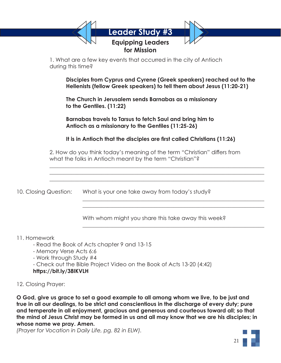|                       | during this time? | 1. What are a few key events that occurred in the city of Antioch                                                                              |
|-----------------------|-------------------|------------------------------------------------------------------------------------------------------------------------------------------------|
|                       |                   | Disciples from Cyprus and Cyrene (Greek speakers) reached out to the<br>Hellenists (fellow Greek speakers) to tell them about Jesus (11:20-21) |
|                       |                   | The Church in Jerusalem sends Barnabas as a missionary<br>to the Gentiles. (11:22)                                                             |
|                       |                   | Barnabas travels to Tarsus to fetch Saul and bring him to<br>Antioch as a missionary to the Gentiles (11:25-26)                                |
|                       |                   | It is in Antioch that the disciples are first called Christians (11:26)                                                                        |
|                       |                   | 2. How do you think today's meaning of the term "Christian" differs from<br>what the folks in Antioch meant by the term "Christian"?           |
|                       |                   |                                                                                                                                                |
| 10. Closing Question: |                   | What is your one take away from today's study?                                                                                                 |

**https://bit.ly/38IKVLH**

# 12. Closing Prayer:

**O God, give us grace to set a good example to all among whom we live, to be just and true in all our dealings, to be strict and conscientious in the discharge of every duty; pure and temperate in all enjoyment, gracious and generous and courteous toward all; so that the mind of Jesus Christ may be formed in us and all may know that we are his disciples; in whose name we pray. Amen.**

*(Prayer for Vocation in Daily Life, pg. 82 in ELW).*

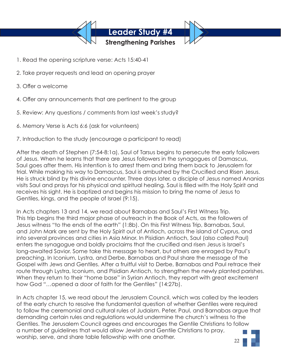

- 1. Read the opening scripture verse: Acts 15:40-41
- 2. Take prayer requests and lead an opening prayer
- 3. Offer a welcome
- 4. Offer any announcements that are pertinent to the group
- 5. Review: Any questions / comments from last week's study?
- 6. Memory Verse is Acts 6:6 (ask for volunteers)
- 7. Introduction to the study (encourage a participant to read)

After the death of Stephen (7:54-8:1a), Saul of Tarsus begins to persecute the early followers of Jesus. When he learns that there are Jesus followers in the synagogues of Damascus, Saul goes after them. His intention is to arrest them and bring them back to Jerusalem for trial. While making his way to Damascus, Saul is ambushed by the Crucified and Risen Jesus. He is struck blind by this divine encounter. Three days later, a disciple of Jesus named Ananias visits Saul and prays for his physical and spiritual healing. Saul is filled with the Holy Spirit and receives his sight. He is baptized and begins his mission to bring the name of Jesus to Gentiles, kings, and the people of Israel (9:15).

In Acts chapters 13 and 14, we read about Barnabas and Saul's First Witness Trip. This trip begins the third major phase of outreach in the Book of Acts, as the followers of Jesus witness "to the ends of the earth" (1:8b). On this First Witness Trip, Barnabas, Saul, and John Mark are sent by the Holy Spirit out of Antioch, across the island of Cyprus, and into several provinces and cities in Asia Minor. In Pisidian Antioch, Saul (also called Paul) enters the synagogue and boldly proclaims that the crucified and risen Jesus is Israel's long-awaited Savior. Some take this message to heart, but others are enraged by Paul's preaching. In Iconium, Lystra, and Derbe, Barnabas and Paul share the message of the Gospel with Jews and Gentiles. After a fruitful visit to Derbe, Barnabas and Paul retrace their route through Lystra, Iconium, and Pisidian Antioch, to strengthen the newly planted parishes. When they return to their "home base" in Syrian Antioch, they report with great excitement how God "…opened a door of faith for the Gentiles" (14:27b).

In Acts chapter 15, we read about the Jerusalem Council, which was called by the leaders of the early church to resolve the fundamental question of whether Gentiles were required to follow the ceremonial and cultural rules of Judaism. Peter, Paul, and Barnabas argue that demanding certain rules and regulations would undermine the church's witness to the Gentiles. The Jerusalem Council agrees and encourages the Gentile Christians to follow a number of guidelines that would allow Jewish and Gentile Christians to pray, worship, serve, and share table fellowship with one another.

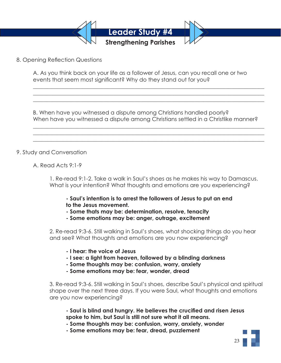

8. Opening Reflection Questions

A. As you think back on your life as a follower of Jesus, can you recall one or two events that seem most significant? Why do they stand out for you?

B. When have you witnessed a dispute among Christians handled poorly? When have you witnessed a dispute among Christians settled in a Christlike manner?

 $\_$  , and the set of the set of the set of the set of the set of the set of the set of the set of the set of the set of the set of the set of the set of the set of the set of the set of the set of the set of the set of th  $\_$  , and the set of the set of the set of the set of the set of the set of the set of the set of the set of the set of the set of the set of the set of the set of the set of the set of the set of the set of the set of th  $\_$  , and the set of the set of the set of the set of the set of the set of the set of the set of the set of the set of the set of the set of the set of the set of the set of the set of the set of the set of the set of th

 $\_$  , and the set of the set of the set of the set of the set of the set of the set of the set of the set of the set of the set of the set of the set of the set of the set of the set of the set of the set of the set of th  $\_$  , and the set of the set of the set of the set of the set of the set of the set of the set of the set of the set of the set of the set of the set of the set of the set of the set of the set of the set of the set of th  $\_$  , and the set of the set of the set of the set of the set of the set of the set of the set of the set of the set of the set of the set of the set of the set of the set of the set of the set of the set of the set of th

# 9. Study and Conversation

A. Read Acts 9:1-9

 1. Re-read 9:1-2. Take a walk in Saul's shoes as he makes his way to Damascus. What is your intention? What thoughts and emotions are you experiencing?

 **- Saul's intention is to arrest the followers of Jesus to put an end to the Jesus movement.** 

- **Some thats may be: determination, resolve, tenacity**
- **Some emotions may be: anger, outrage, excitement**

 2. Re-read 9:3-6. Still walking in Saul's shoes, what shocking things do you hear and see? What thoughts and emotions are you now experiencing?

- **I hear: the voice of Jesus**
- **I see: a light from heaven, followed by a blinding darkness**
- **Some thoughts may be: confusion, worry, anxiety**
- **Some emotions may be: fear, wonder, dread**

 3. Re-read 9:3-6. Still walking in Saul's shoes, describe Saul's physical and spiritual shape over the next three days. If you were Saul, what thoughts and emotions are you now experiencing?

 **- Saul is blind and hungry. He believes the crucified and risen Jesus spoke to him, but Saul is still not sure what it all means.** 

 **- Some thoughts may be: confusion, worry, anxiety, wonder**

 **- Some emotions may be: fear, dread, puzzlement**

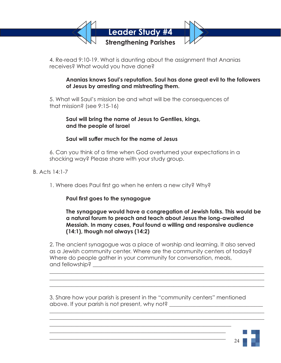

 4. Re-read 9:10-19. What is daunting about the assignment that Ananias receives? What would you have done?

# **Ananias knows Saul's reputation. Saul has done great evil to the followers of Jesus by arresting and mistreating them.**

 5. What will Saul's mission be and what will be the consequences of that mission? (see 9:15-16)

# **Saul will bring the name of Jesus to Gentiles, kings, and the people of Israel**

# **Saul will suffer much for the name of Jesus**

 6. Can you think of a time when God overturned your expectations in a shocking way? Please share with your study group.

- B. Acts 14:1-7
	- 1. Where does Paul first go when he enters a new city? Why?

# **Paul first goes to the synagogue**

# **The synagogue would have a congregation of Jewish folks. This would be a natural forum to preach and teach about Jesus the long-awaited Messiah. In many cases, Paul found a willing and responsive audience (14:1), though not always (14:2)**

 2. The ancient synagogue was a place of worship and learning. It also served as a Jewish community center. Where are the community centers of today? Where do people gather in your community for conversation, meals, and fellowship?

 3. Share how your parish is present in the "community centers" mentioned above. If your parish is not present, why not? \_\_\_\_\_\_\_\_\_\_\_\_\_\_\_\_\_\_\_\_\_\_\_\_\_\_\_\_\_\_\_\_\_

 $\mathcal{L}_\mathcal{L} = \mathcal{L}_\mathcal{L} = \mathcal{L}_\mathcal{L} = \mathcal{L}_\mathcal{L} = \mathcal{L}_\mathcal{L} = \mathcal{L}_\mathcal{L} = \mathcal{L}_\mathcal{L} = \mathcal{L}_\mathcal{L} = \mathcal{L}_\mathcal{L} = \mathcal{L}_\mathcal{L} = \mathcal{L}_\mathcal{L} = \mathcal{L}_\mathcal{L} = \mathcal{L}_\mathcal{L} = \mathcal{L}_\mathcal{L} = \mathcal{L}_\mathcal{L} = \mathcal{L}_\mathcal{L} = \mathcal{L}_\mathcal{L}$  $\mathcal{L}_\mathcal{L} = \mathcal{L}_\mathcal{L} = \mathcal{L}_\mathcal{L} = \mathcal{L}_\mathcal{L} = \mathcal{L}_\mathcal{L} = \mathcal{L}_\mathcal{L} = \mathcal{L}_\mathcal{L} = \mathcal{L}_\mathcal{L} = \mathcal{L}_\mathcal{L} = \mathcal{L}_\mathcal{L} = \mathcal{L}_\mathcal{L} = \mathcal{L}_\mathcal{L} = \mathcal{L}_\mathcal{L} = \mathcal{L}_\mathcal{L} = \mathcal{L}_\mathcal{L} = \mathcal{L}_\mathcal{L} = \mathcal{L}_\mathcal{L}$  $\mathcal{L}_\mathcal{L} = \mathcal{L}_\mathcal{L} = \mathcal{L}_\mathcal{L} = \mathcal{L}_\mathcal{L} = \mathcal{L}_\mathcal{L} = \mathcal{L}_\mathcal{L} = \mathcal{L}_\mathcal{L} = \mathcal{L}_\mathcal{L} = \mathcal{L}_\mathcal{L} = \mathcal{L}_\mathcal{L} = \mathcal{L}_\mathcal{L} = \mathcal{L}_\mathcal{L} = \mathcal{L}_\mathcal{L} = \mathcal{L}_\mathcal{L} = \mathcal{L}_\mathcal{L} = \mathcal{L}_\mathcal{L} = \mathcal{L}_\mathcal{L}$ 

 $\mathcal{L}_\mathcal{L} = \mathcal{L}_\mathcal{L} = \mathcal{L}_\mathcal{L} = \mathcal{L}_\mathcal{L} = \mathcal{L}_\mathcal{L} = \mathcal{L}_\mathcal{L} = \mathcal{L}_\mathcal{L} = \mathcal{L}_\mathcal{L} = \mathcal{L}_\mathcal{L} = \mathcal{L}_\mathcal{L} = \mathcal{L}_\mathcal{L} = \mathcal{L}_\mathcal{L} = \mathcal{L}_\mathcal{L} = \mathcal{L}_\mathcal{L} = \mathcal{L}_\mathcal{L} = \mathcal{L}_\mathcal{L} = \mathcal{L}_\mathcal{L}$  $\mathcal{L}_\mathcal{L} = \mathcal{L}_\mathcal{L} = \mathcal{L}_\mathcal{L} = \mathcal{L}_\mathcal{L} = \mathcal{L}_\mathcal{L} = \mathcal{L}_\mathcal{L} = \mathcal{L}_\mathcal{L} = \mathcal{L}_\mathcal{L} = \mathcal{L}_\mathcal{L} = \mathcal{L}_\mathcal{L} = \mathcal{L}_\mathcal{L} = \mathcal{L}_\mathcal{L} = \mathcal{L}_\mathcal{L} = \mathcal{L}_\mathcal{L} = \mathcal{L}_\mathcal{L} = \mathcal{L}_\mathcal{L} = \mathcal{L}_\mathcal{L}$ 

 $\mathcal{L}_\mathcal{L} = \mathcal{L}_\mathcal{L} = \mathcal{L}_\mathcal{L} = \mathcal{L}_\mathcal{L} = \mathcal{L}_\mathcal{L} = \mathcal{L}_\mathcal{L} = \mathcal{L}_\mathcal{L} = \mathcal{L}_\mathcal{L} = \mathcal{L}_\mathcal{L} = \mathcal{L}_\mathcal{L} = \mathcal{L}_\mathcal{L} = \mathcal{L}_\mathcal{L} = \mathcal{L}_\mathcal{L} = \mathcal{L}_\mathcal{L} = \mathcal{L}_\mathcal{L} = \mathcal{L}_\mathcal{L} = \mathcal{L}_\mathcal{L}$  $\mathcal{L}_\text{max} = \frac{1}{2} \sum_{i=1}^{n} \frac{1}{2} \sum_{i=1}^{n} \frac{1}{2} \sum_{i=1}^{n} \frac{1}{2} \sum_{i=1}^{n} \frac{1}{2} \sum_{i=1}^{n} \frac{1}{2} \sum_{i=1}^{n} \frac{1}{2} \sum_{i=1}^{n} \frac{1}{2} \sum_{i=1}^{n} \frac{1}{2} \sum_{i=1}^{n} \frac{1}{2} \sum_{i=1}^{n} \frac{1}{2} \sum_{i=1}^{n} \frac{1}{2} \sum_{i=1}^{n} \frac{1$  $\mathcal{L}_\text{max}$  , and the contract of the contract of the contract of the contract of the contract of the contract of the contract of the contract of the contract of the contract of the contract of the contract of the contr

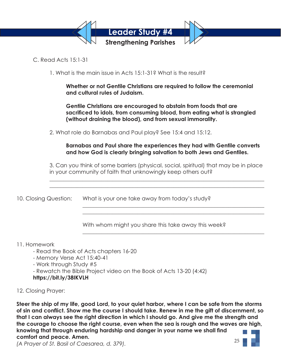

C. Read Acts 15:1-31

1. What is the main issue in Acts 15:1-31? What is the result?

 **Whether or not Gentile Christians are required to follow the ceremonial and cultural rules of Judaism.**

 **Gentile Christians are encouraged to abstain from foods that are sacrificed to idols, from consuming blood, from eating what is strangled (without draining the blood), and from sexual immorality.**

2. What role do Barnabas and Paul play? See 15:4 and 15:12.

# **Barnabas and Paul share the experiences they had with Gentile converts and how God is clearly bringing salvation to both Jews and Gentiles.**

 3. Can you think of some barriers (physical, social, spiritual) that may be in place in your community of faith that unknowingly keep others out?

 $\mathcal{L}_\mathcal{L} = \mathcal{L}_\mathcal{L} = \mathcal{L}_\mathcal{L} = \mathcal{L}_\mathcal{L} = \mathcal{L}_\mathcal{L} = \mathcal{L}_\mathcal{L} = \mathcal{L}_\mathcal{L} = \mathcal{L}_\mathcal{L} = \mathcal{L}_\mathcal{L} = \mathcal{L}_\mathcal{L} = \mathcal{L}_\mathcal{L} = \mathcal{L}_\mathcal{L} = \mathcal{L}_\mathcal{L} = \mathcal{L}_\mathcal{L} = \mathcal{L}_\mathcal{L} = \mathcal{L}_\mathcal{L} = \mathcal{L}_\mathcal{L}$  $\mathcal{L}_\mathcal{L} = \mathcal{L}_\mathcal{L} = \mathcal{L}_\mathcal{L} = \mathcal{L}_\mathcal{L} = \mathcal{L}_\mathcal{L} = \mathcal{L}_\mathcal{L} = \mathcal{L}_\mathcal{L} = \mathcal{L}_\mathcal{L} = \mathcal{L}_\mathcal{L} = \mathcal{L}_\mathcal{L} = \mathcal{L}_\mathcal{L} = \mathcal{L}_\mathcal{L} = \mathcal{L}_\mathcal{L} = \mathcal{L}_\mathcal{L} = \mathcal{L}_\mathcal{L} = \mathcal{L}_\mathcal{L} = \mathcal{L}_\mathcal{L}$ 

 $\mathcal{L}_\mathcal{L} = \mathcal{L}_\mathcal{L} = \mathcal{L}_\mathcal{L} = \mathcal{L}_\mathcal{L} = \mathcal{L}_\mathcal{L} = \mathcal{L}_\mathcal{L} = \mathcal{L}_\mathcal{L} = \mathcal{L}_\mathcal{L} = \mathcal{L}_\mathcal{L} = \mathcal{L}_\mathcal{L} = \mathcal{L}_\mathcal{L} = \mathcal{L}_\mathcal{L} = \mathcal{L}_\mathcal{L} = \mathcal{L}_\mathcal{L} = \mathcal{L}_\mathcal{L} = \mathcal{L}_\mathcal{L} = \mathcal{L}_\mathcal{L}$  $\mathcal{L}_\mathcal{L} = \mathcal{L}_\mathcal{L} = \mathcal{L}_\mathcal{L} = \mathcal{L}_\mathcal{L} = \mathcal{L}_\mathcal{L} = \mathcal{L}_\mathcal{L} = \mathcal{L}_\mathcal{L} = \mathcal{L}_\mathcal{L} = \mathcal{L}_\mathcal{L} = \mathcal{L}_\mathcal{L} = \mathcal{L}_\mathcal{L} = \mathcal{L}_\mathcal{L} = \mathcal{L}_\mathcal{L} = \mathcal{L}_\mathcal{L} = \mathcal{L}_\mathcal{L} = \mathcal{L}_\mathcal{L} = \mathcal{L}_\mathcal{L}$ 

 $\mathcal{L}_\mathcal{L} = \mathcal{L}_\mathcal{L} = \mathcal{L}_\mathcal{L} = \mathcal{L}_\mathcal{L} = \mathcal{L}_\mathcal{L} = \mathcal{L}_\mathcal{L} = \mathcal{L}_\mathcal{L} = \mathcal{L}_\mathcal{L} = \mathcal{L}_\mathcal{L} = \mathcal{L}_\mathcal{L} = \mathcal{L}_\mathcal{L} = \mathcal{L}_\mathcal{L} = \mathcal{L}_\mathcal{L} = \mathcal{L}_\mathcal{L} = \mathcal{L}_\mathcal{L} = \mathcal{L}_\mathcal{L} = \mathcal{L}_\mathcal{L}$ 

10. Closing Question: What is your one take away from today's study?

With whom might you share this take away this week?

11. Homework

- Read the Book of Acts chapters 16-20
- Memory Verse Act 15:40-41
- Work through Study #5

- Rewatch the Bible Project video on the Book of Acts 13-20 (4:42)

**https://bit.ly/38IKVLH**

# 12. Closing Prayer:

**Steer the ship of my life, good Lord, to your quiet harbor, where I can be safe from the storms of sin and conflict. Show me the course I should take. Renew in me the gift of discernment, so that I can always see the right direction in which I should go. And give me the strength and the courage to choose the right course, even when the sea is rough and the waves are high, knowing that through enduring hardship and danger in your name we shall find comfort and peace. Amen.** 25

*(A Prayer of St. Basil of Caesarea, d. 379).*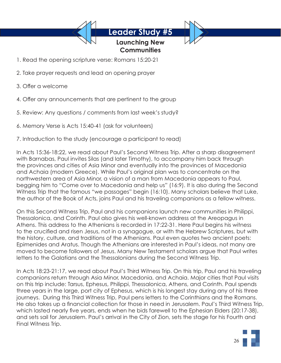# **Launching New Communities**

- 1. Read the opening scripture verse: Romans 15:20-21
- 2. Take prayer requests and lead an opening prayer
- 3. Offer a welcome
- 4. Offer any announcements that are pertinent to the group
- 5. Review: Any questions / comments from last week's study?
- 6. Memory Verse is Acts 15:40-41 (ask for volunteers)
- 7. Introduction to the study (encourage a participant to read)

In Acts 15:36-18:22, we read about Paul's Second Witness Trip. After a sharp disagreement with Barnabas, Paul invites Silas (and later Timothy), to accompany him back through the provinces and cities of Asia Minor and eventually into the provinces of Macedonia and Achaia (modern Greece). While Paul's original plan was to concentrate on the northwestern area of Asia Minor, a vision of a man from Macedonia appears to Paul, begging him to "Come over to Macedonia and help us" (16:9). It is also during the Second Witness Trip that the famous "we passages" begin (16:10). Many scholars believe that Luke, the author of the Book of Acts, joins Paul and his traveling companions as a fellow witness.

On this Second Witness Trip, Paul and his companions launch new communities in Philippi, Thessalonica, and Corinth. Paul also gives his well-known address at the Areopagus in Athens. This address to the Athenians is recorded in 17:22-31. Here Paul begins his witness to the crucified and risen Jesus, not in a synagogue, or with the Hebrew Scriptures, but with the history, culture, and traditions of the Athenians. Paul even quotes two ancient poets: Epimenides and Aratus. Though the Athenians are interested in Paul's ideas, not many are moved to become followers of Jesus. Many New Testament scholars argue that Paul writes letters to the Galatians and the Thessalonians during the Second Witness Trip.

In Acts 18:23-21:17, we read about Paul's Third Witness Trip. On this trip, Paul and his traveling companions return through Asia Minor, Macedonia, and Achaia. Major cities that Paul visits on this trip include: Tarsus, Ephesus, Philippi, Thessalonica, Athens, and Corinth. Paul spends three years in the large, port city of Ephesus, which is his longest stay during any of his three journeys. During this Third Witness Trip, Paul pens letters to the Corinthians and the Romans. He also takes up a financial collection for those in need in Jerusalem. Paul's Third Witness Trip, which lasted nearly five years, ends when he bids farewell to the Ephesian Elders (20:17-38), and sets sail for Jerusalem. Paul's arrival in the City of Zion, sets the stage for his Fourth and Final Witness Trip.

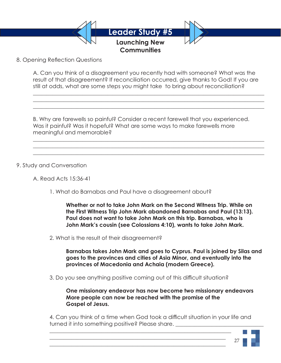

8. Opening Reflection Questions

A. Can you think of a disagreement you recently had with someone? What was the result of that disagreement? If reconciliation occurred, give thanks to God! If you are still at odds, what are some steps you might take to bring about reconciliation?

 $\_$  , and the set of the set of the set of the set of the set of the set of the set of the set of the set of the set of the set of the set of the set of the set of the set of the set of the set of the set of the set of th  $\_$  , and the set of the set of the set of the set of the set of the set of the set of the set of the set of the set of the set of the set of the set of the set of the set of the set of the set of the set of the set of th  $\_$  , and the set of the set of the set of the set of the set of the set of the set of the set of the set of the set of the set of the set of the set of the set of the set of the set of the set of the set of the set of th

 $\_$  , and the set of the set of the set of the set of the set of the set of the set of the set of the set of the set of the set of the set of the set of the set of the set of the set of the set of the set of the set of th  $\_$  , and the set of the set of the set of the set of the set of the set of the set of the set of the set of the set of the set of the set of the set of the set of the set of the set of the set of the set of the set of th  $\_$  , and the set of the set of the set of the set of the set of the set of the set of the set of the set of the set of the set of the set of the set of the set of the set of the set of the set of the set of the set of th

B. Why are farewells so painful? Consider a recent farewell that you experienced. Was it painful? Was it hopeful? What are some ways to make farewells more meaningful and memorable?

9. Study and Conversation

A. Read Acts 15:36-41

1. What do Barnabas and Paul have a disagreement about?

 **Whether or not to take John Mark on the Second Witness Trip. While on the First Witness Trip John Mark abandoned Barnabas and Paul (13:13). Paul does not want to take John Mark on this trip. Barnabas, who is John Mark's cousin (see Colossians 4:10), wants to take John Mark.**

2. What is the result of their disagreement?

 **Barnabas takes John Mark and goes to Cyprus. Paul is joined by Silas and goes to the provinces and cities of Asia Minor, and eventually into the provinces of Macedonia and Achaia (modern Greece).**

3. Do you see anything positive coming out of this difficult situation?

 $\mathcal{L}_\mathcal{L} = \mathcal{L}_\mathcal{L} = \mathcal{L}_\mathcal{L} = \mathcal{L}_\mathcal{L} = \mathcal{L}_\mathcal{L} = \mathcal{L}_\mathcal{L} = \mathcal{L}_\mathcal{L} = \mathcal{L}_\mathcal{L} = \mathcal{L}_\mathcal{L} = \mathcal{L}_\mathcal{L} = \mathcal{L}_\mathcal{L} = \mathcal{L}_\mathcal{L} = \mathcal{L}_\mathcal{L} = \mathcal{L}_\mathcal{L} = \mathcal{L}_\mathcal{L} = \mathcal{L}_\mathcal{L} = \mathcal{L}_\mathcal{L}$  $\mathcal{L}_\text{max}$  , and the contract of the contract of the contract of the contract of the contract of the contract of the contract of the contract of the contract of the contract of the contract of the contract of the contr  $\mathcal{L}_\text{max} = \frac{1}{2} \sum_{i=1}^{n} \frac{1}{2} \sum_{i=1}^{n} \frac{1}{2} \sum_{i=1}^{n} \frac{1}{2} \sum_{i=1}^{n} \frac{1}{2} \sum_{i=1}^{n} \frac{1}{2} \sum_{i=1}^{n} \frac{1}{2} \sum_{i=1}^{n} \frac{1}{2} \sum_{i=1}^{n} \frac{1}{2} \sum_{i=1}^{n} \frac{1}{2} \sum_{i=1}^{n} \frac{1}{2} \sum_{i=1}^{n} \frac{1}{2} \sum_{i=1}^{n} \frac{1$ 

 **One missionary endeavor has now become two missionary endeavors More people can now be reached with the promise of the Gospel of Jesus.**

 4. Can you think of a time when God took a difficult situation in your life and turned it into something positive? Please share.

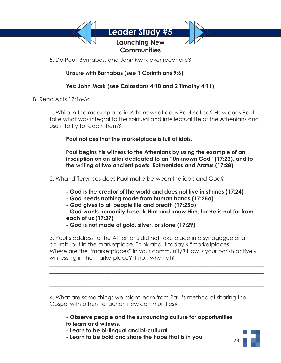

5. Do Paul, Barnabas, and John Mark ever reconcile?

# **Unsure with Barnabas (see 1 Corinthians 9:6)**

# **Yes: John Mark (see Colossians 4:10 and 2 Timothy 4:11)**

B. Read Acts  $17:16-34$ 

 1. While in the marketplace in Athens what does Paul notice? How does Paul take what was integral to the spiritual and intellectual life of the Athenians and use it to try to reach them?

 **Paul notices that the marketplace is full of idols.** 

 **Paul begins his witness to the Athenians by using the example of an inscription on an altar dedicated to an "Unknown God" (17:23), and to the writing of two ancient poets: Epimenides and Aratus (17:28).**

- 2. What differences does Paul make between the idols and God?
	- **God is the creator of the world and does not live in shrines (17:24)**
	- **God needs nothing made from human hands (17:25a)**
	- **God gives to all people life and breath (17:25b)**
	- **God wants humanity to seek Him and know Him, for He is not far from each of us (17:27)**
	- **God is not made of gold, silver, or stone (17:29)**

 3. Paul's address to the Athenians did not take place in a synagogue or a church, but in the marketplace. Think about today's "marketplaces". Where are the "marketplaces" in your community? How is your parish actively witnessing in the marketplace? If not, why not?

 4. What are some things we might learn from Paul's method of sharing the Gospel with others to launch new communities?

 $\mathcal{L}_\mathcal{L} = \mathcal{L}_\mathcal{L} = \mathcal{L}_\mathcal{L} = \mathcal{L}_\mathcal{L} = \mathcal{L}_\mathcal{L} = \mathcal{L}_\mathcal{L} = \mathcal{L}_\mathcal{L} = \mathcal{L}_\mathcal{L} = \mathcal{L}_\mathcal{L} = \mathcal{L}_\mathcal{L} = \mathcal{L}_\mathcal{L} = \mathcal{L}_\mathcal{L} = \mathcal{L}_\mathcal{L} = \mathcal{L}_\mathcal{L} = \mathcal{L}_\mathcal{L} = \mathcal{L}_\mathcal{L} = \mathcal{L}_\mathcal{L}$  $\mathcal{L}_\mathcal{L} = \mathcal{L}_\mathcal{L} = \mathcal{L}_\mathcal{L} = \mathcal{L}_\mathcal{L} = \mathcal{L}_\mathcal{L} = \mathcal{L}_\mathcal{L} = \mathcal{L}_\mathcal{L} = \mathcal{L}_\mathcal{L} = \mathcal{L}_\mathcal{L} = \mathcal{L}_\mathcal{L} = \mathcal{L}_\mathcal{L} = \mathcal{L}_\mathcal{L} = \mathcal{L}_\mathcal{L} = \mathcal{L}_\mathcal{L} = \mathcal{L}_\mathcal{L} = \mathcal{L}_\mathcal{L} = \mathcal{L}_\mathcal{L}$  $\mathcal{L}_\mathcal{L} = \mathcal{L}_\mathcal{L} = \mathcal{L}_\mathcal{L} = \mathcal{L}_\mathcal{L} = \mathcal{L}_\mathcal{L} = \mathcal{L}_\mathcal{L} = \mathcal{L}_\mathcal{L} = \mathcal{L}_\mathcal{L} = \mathcal{L}_\mathcal{L} = \mathcal{L}_\mathcal{L} = \mathcal{L}_\mathcal{L} = \mathcal{L}_\mathcal{L} = \mathcal{L}_\mathcal{L} = \mathcal{L}_\mathcal{L} = \mathcal{L}_\mathcal{L} = \mathcal{L}_\mathcal{L} = \mathcal{L}_\mathcal{L}$  $\mathcal{L}_\mathcal{L} = \mathcal{L}_\mathcal{L} = \mathcal{L}_\mathcal{L} = \mathcal{L}_\mathcal{L} = \mathcal{L}_\mathcal{L} = \mathcal{L}_\mathcal{L} = \mathcal{L}_\mathcal{L} = \mathcal{L}_\mathcal{L} = \mathcal{L}_\mathcal{L} = \mathcal{L}_\mathcal{L} = \mathcal{L}_\mathcal{L} = \mathcal{L}_\mathcal{L} = \mathcal{L}_\mathcal{L} = \mathcal{L}_\mathcal{L} = \mathcal{L}_\mathcal{L} = \mathcal{L}_\mathcal{L} = \mathcal{L}_\mathcal{L}$ 

> **- Observe people and the surrounding culture for opportunities to learn and witness.**

- **Learn to be bi-lingual and bi-cultural**
- **Learn to be bold and share the hope that is in you**

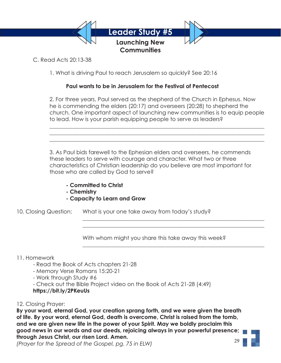

C. Read Acts 20:13-38

1. What is driving Paul to reach Jerusalem so quickly? See 20:16

# **Paul wants to be in Jerusalem for the Festival of Pentecost**

 $\mathcal{L}_\mathcal{L} = \mathcal{L}_\mathcal{L} = \mathcal{L}_\mathcal{L} = \mathcal{L}_\mathcal{L} = \mathcal{L}_\mathcal{L} = \mathcal{L}_\mathcal{L} = \mathcal{L}_\mathcal{L} = \mathcal{L}_\mathcal{L} = \mathcal{L}_\mathcal{L} = \mathcal{L}_\mathcal{L} = \mathcal{L}_\mathcal{L} = \mathcal{L}_\mathcal{L} = \mathcal{L}_\mathcal{L} = \mathcal{L}_\mathcal{L} = \mathcal{L}_\mathcal{L} = \mathcal{L}_\mathcal{L} = \mathcal{L}_\mathcal{L}$  $\mathcal{L}_\mathcal{L} = \mathcal{L}_\mathcal{L} = \mathcal{L}_\mathcal{L} = \mathcal{L}_\mathcal{L} = \mathcal{L}_\mathcal{L} = \mathcal{L}_\mathcal{L} = \mathcal{L}_\mathcal{L} = \mathcal{L}_\mathcal{L} = \mathcal{L}_\mathcal{L} = \mathcal{L}_\mathcal{L} = \mathcal{L}_\mathcal{L} = \mathcal{L}_\mathcal{L} = \mathcal{L}_\mathcal{L} = \mathcal{L}_\mathcal{L} = \mathcal{L}_\mathcal{L} = \mathcal{L}_\mathcal{L} = \mathcal{L}_\mathcal{L}$  $\mathcal{L}_\mathcal{L} = \mathcal{L}_\mathcal{L} = \mathcal{L}_\mathcal{L} = \mathcal{L}_\mathcal{L} = \mathcal{L}_\mathcal{L} = \mathcal{L}_\mathcal{L} = \mathcal{L}_\mathcal{L} = \mathcal{L}_\mathcal{L} = \mathcal{L}_\mathcal{L} = \mathcal{L}_\mathcal{L} = \mathcal{L}_\mathcal{L} = \mathcal{L}_\mathcal{L} = \mathcal{L}_\mathcal{L} = \mathcal{L}_\mathcal{L} = \mathcal{L}_\mathcal{L} = \mathcal{L}_\mathcal{L} = \mathcal{L}_\mathcal{L}$ 

 2. For three years, Paul served as the shepherd of the Church in Ephesus. Now he is commending the elders (20:17) and overseers (20:28) to shepherd the church. One important aspect of launching new communities is to equip people to lead. How is your parish equipping people to serve as leaders?

 3. As Paul bids farewell to the Ephesian elders and overseers, he commends these leaders to serve with courage and character. What two or three characteristics of Christian leadership do you believe are most important for those who are called by God to serve?

- **Committed to Christ**
- **Chemistry**
- **Capacity to Learn and Grow**

10. Closing Question: What is your one take away from today's study?

With whom might you share this take away this week?

 $\mathcal{L}_\mathcal{L} = \mathcal{L}_\mathcal{L} = \mathcal{L}_\mathcal{L} = \mathcal{L}_\mathcal{L} = \mathcal{L}_\mathcal{L} = \mathcal{L}_\mathcal{L} = \mathcal{L}_\mathcal{L} = \mathcal{L}_\mathcal{L} = \mathcal{L}_\mathcal{L} = \mathcal{L}_\mathcal{L} = \mathcal{L}_\mathcal{L} = \mathcal{L}_\mathcal{L} = \mathcal{L}_\mathcal{L} = \mathcal{L}_\mathcal{L} = \mathcal{L}_\mathcal{L} = \mathcal{L}_\mathcal{L} = \mathcal{L}_\mathcal{L}$  $\mathcal{L}_\mathcal{L} = \mathcal{L}_\mathcal{L} = \mathcal{L}_\mathcal{L} = \mathcal{L}_\mathcal{L} = \mathcal{L}_\mathcal{L} = \mathcal{L}_\mathcal{L} = \mathcal{L}_\mathcal{L} = \mathcal{L}_\mathcal{L} = \mathcal{L}_\mathcal{L} = \mathcal{L}_\mathcal{L} = \mathcal{L}_\mathcal{L} = \mathcal{L}_\mathcal{L} = \mathcal{L}_\mathcal{L} = \mathcal{L}_\mathcal{L} = \mathcal{L}_\mathcal{L} = \mathcal{L}_\mathcal{L} = \mathcal{L}_\mathcal{L}$ 

 $\mathcal{L}_\mathcal{L} = \mathcal{L}_\mathcal{L} = \mathcal{L}_\mathcal{L} = \mathcal{L}_\mathcal{L} = \mathcal{L}_\mathcal{L} = \mathcal{L}_\mathcal{L} = \mathcal{L}_\mathcal{L} = \mathcal{L}_\mathcal{L} = \mathcal{L}_\mathcal{L} = \mathcal{L}_\mathcal{L} = \mathcal{L}_\mathcal{L} = \mathcal{L}_\mathcal{L} = \mathcal{L}_\mathcal{L} = \mathcal{L}_\mathcal{L} = \mathcal{L}_\mathcal{L} = \mathcal{L}_\mathcal{L} = \mathcal{L}_\mathcal{L}$ 

### 11. Homework

- Read the Book of Acts chapters 21-28
- Memory Verse Romans 15:20-21
- Work through Study #6
- Check out the Bible Project video on the Book of Acts 21-28 (4:49)

# **https://bit.ly/2PKeuUs**

# 12. Closing Prayer:

**By your word, eternal God, your creation sprang forth, and we were given the breath of life. By your word, eternal God, death is overcome, Christ is raised from the tomb, and we are given new life in the power of your Spirit. May we boldly proclaim this good news in our words and our deeds, rejoicing always in your powerful presence; through Jesus Christ, our risen Lord. Amen.** 29

*(Prayer for the Spread of the Gospel, pg. 75 in ELW)*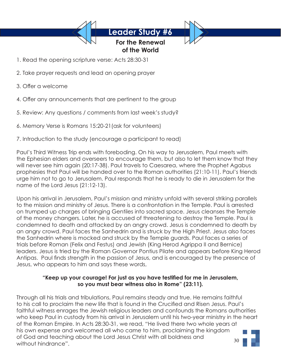**For the Renewal of the World**

- 1. Read the opening scripture verse: Acts 28:30-31
- 2. Take prayer requests and lead an opening prayer
- 3. Offer a welcome
- 4. Offer any announcements that are pertinent to the group
- 5. Review: Any questions / comments from last week's study?
- 6. Memory Verse is Romans 15:20-21(ask for volunteers)
- 7. Introduction to the study (encourage a participant to read)

Paul's Third Witness Trip ends with foreboding. On his way to Jerusalem, Paul meets with the Ephesian elders and overseers to encourage them, but also to let them know that they will never see him again (20:17-38). Paul travels to Caesarea, where the Prophet Agabus prophesies that Paul will be handed over to the Roman authorities (21:10-11). Paul's friends urge him not to go to Jerusalem. Paul responds that he is ready to die in Jerusalem for the name of the Lord Jesus (21:12-13).

Upon his arrival in Jerusalem, Paul's mission and ministry unfold with several striking parallels to the mission and ministry of Jesus. There is a confrontation in the Temple. Paul is arrested on trumped up charges of bringing Gentiles into sacred space. Jesus cleanses the Temple of the money changers. Later, he is accused of threatening to destroy the Temple. Paul is condemned to death and attacked by an angry crowd. Jesus is condemned to death by an angry crowd. Paul faces the Sanhedrin and is struck by the High Priest. Jesus also faces the Sanhedrin where is mocked and struck by the Temple guards. Paul faces a series of trials before Roman (Felix and Festus) and Jewish (King Herod Agrippa II and Bernice) leaders. Jesus is tried by the Roman Governor Pontius Pilate and appears before King Herod Antipas. Paul finds strength in the passion of Jesus, and is encouraged by the presence of Jesus, who appears to him and says these words,

# **"Keep up your courage! For just as you have testified for me in Jerusalem, so you must bear witness also in Rome" (23:11).**

Through all his trials and tribulations, Paul remains steady and true. He remains faithful to his call to proclaim the new life that is found in the Crucified and Risen Jesus. Paul's faithful witness enrages the Jewish religious leaders and confounds the Romans authorities who keep Paul in custody from his arrival in Jerusalem until his two-year ministry in the heart of the Roman Empire. In Acts 28:30-31, we read, "He lived there two whole years at his own expense and welcomed all who came to him, proclaiming the kingdom of God and teaching about the Lord Jesus Christ with all boldness and without hindrance". 30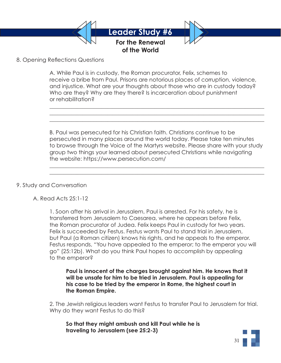

# 8. Opening Reflections Questions

 A. While Paul is in custody, the Roman procurator, Felix, schemes to receive a bribe from Paul. Prisons are notorious places of corruption, violence, and injustice. What are your thoughts about those who are in custody today? Who are they? Why are they there? Is incarceration about punishment or rehabilitation?

 $\mathcal{L}_\mathcal{L} = \mathcal{L}_\mathcal{L} = \mathcal{L}_\mathcal{L} = \mathcal{L}_\mathcal{L} = \mathcal{L}_\mathcal{L} = \mathcal{L}_\mathcal{L} = \mathcal{L}_\mathcal{L} = \mathcal{L}_\mathcal{L} = \mathcal{L}_\mathcal{L} = \mathcal{L}_\mathcal{L} = \mathcal{L}_\mathcal{L} = \mathcal{L}_\mathcal{L} = \mathcal{L}_\mathcal{L} = \mathcal{L}_\mathcal{L} = \mathcal{L}_\mathcal{L} = \mathcal{L}_\mathcal{L} = \mathcal{L}_\mathcal{L}$  $\mathcal{L}_\mathcal{L} = \mathcal{L}_\mathcal{L} = \mathcal{L}_\mathcal{L} = \mathcal{L}_\mathcal{L} = \mathcal{L}_\mathcal{L} = \mathcal{L}_\mathcal{L} = \mathcal{L}_\mathcal{L} = \mathcal{L}_\mathcal{L} = \mathcal{L}_\mathcal{L} = \mathcal{L}_\mathcal{L} = \mathcal{L}_\mathcal{L} = \mathcal{L}_\mathcal{L} = \mathcal{L}_\mathcal{L} = \mathcal{L}_\mathcal{L} = \mathcal{L}_\mathcal{L} = \mathcal{L}_\mathcal{L} = \mathcal{L}_\mathcal{L}$  $\mathcal{L}_\mathcal{L} = \mathcal{L}_\mathcal{L} = \mathcal{L}_\mathcal{L} = \mathcal{L}_\mathcal{L} = \mathcal{L}_\mathcal{L} = \mathcal{L}_\mathcal{L} = \mathcal{L}_\mathcal{L} = \mathcal{L}_\mathcal{L} = \mathcal{L}_\mathcal{L} = \mathcal{L}_\mathcal{L} = \mathcal{L}_\mathcal{L} = \mathcal{L}_\mathcal{L} = \mathcal{L}_\mathcal{L} = \mathcal{L}_\mathcal{L} = \mathcal{L}_\mathcal{L} = \mathcal{L}_\mathcal{L} = \mathcal{L}_\mathcal{L}$ 

 $\mathcal{L}_\mathcal{L} = \mathcal{L}_\mathcal{L} = \mathcal{L}_\mathcal{L} = \mathcal{L}_\mathcal{L} = \mathcal{L}_\mathcal{L} = \mathcal{L}_\mathcal{L} = \mathcal{L}_\mathcal{L} = \mathcal{L}_\mathcal{L} = \mathcal{L}_\mathcal{L} = \mathcal{L}_\mathcal{L} = \mathcal{L}_\mathcal{L} = \mathcal{L}_\mathcal{L} = \mathcal{L}_\mathcal{L} = \mathcal{L}_\mathcal{L} = \mathcal{L}_\mathcal{L} = \mathcal{L}_\mathcal{L} = \mathcal{L}_\mathcal{L}$  $\mathcal{L}_\mathcal{L} = \mathcal{L}_\mathcal{L} = \mathcal{L}_\mathcal{L} = \mathcal{L}_\mathcal{L} = \mathcal{L}_\mathcal{L} = \mathcal{L}_\mathcal{L} = \mathcal{L}_\mathcal{L} = \mathcal{L}_\mathcal{L} = \mathcal{L}_\mathcal{L} = \mathcal{L}_\mathcal{L} = \mathcal{L}_\mathcal{L} = \mathcal{L}_\mathcal{L} = \mathcal{L}_\mathcal{L} = \mathcal{L}_\mathcal{L} = \mathcal{L}_\mathcal{L} = \mathcal{L}_\mathcal{L} = \mathcal{L}_\mathcal{L}$ 

 B. Paul was persecuted for his Christian faith. Christians continue to be persecuted in many places around the world today. Please take ten minutes to browse through the Voice of the Martyrs website. Please share with your study group two things your learned about persecuted Christians while navigating the website: https://www.persecution.com/

### 9. Study and Conversation

A. Read Acts 25:1-12

 1. Soon after his arrival in Jerusalem, Paul is arrested. For his safety, he is transferred from Jerusalem to Caesarea, where he appears before Felix, the Roman procurator of Judea. Felix keeps Paul in custody for two years. Felix is succeeded by Festus. Festus wants Paul to stand trial in Jerusalem, but Paul (a Roman citizen) knows his rights, and he appeals to the emperor. Festus responds, "You have appealed to the emperor; to the emperor you will go" (25:12b). What do you think Paul hopes to accomplish by appealing to the emperor?

 **Paul is innocent of the charges brought against him. He knows that it will be unsafe for him to be tried in Jerusalem. Paul is appealing for his case to be tried by the emperor in Rome, the highest court in the Roman Empire.**

 2. The Jewish religious leaders want Festus to transfer Paul to Jerusalem for trial. Why do they want Festus to do this?

 **So that they might ambush and kill Paul while he is traveling to Jerusalem (see 25:2-3)**

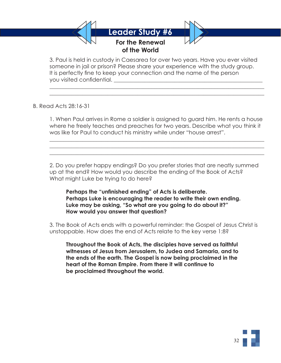

 $\mathcal{L}_\mathcal{L} = \mathcal{L}_\mathcal{L} = \mathcal{L}_\mathcal{L} = \mathcal{L}_\mathcal{L} = \mathcal{L}_\mathcal{L} = \mathcal{L}_\mathcal{L} = \mathcal{L}_\mathcal{L} = \mathcal{L}_\mathcal{L} = \mathcal{L}_\mathcal{L} = \mathcal{L}_\mathcal{L} = \mathcal{L}_\mathcal{L} = \mathcal{L}_\mathcal{L} = \mathcal{L}_\mathcal{L} = \mathcal{L}_\mathcal{L} = \mathcal{L}_\mathcal{L} = \mathcal{L}_\mathcal{L} = \mathcal{L}_\mathcal{L}$  $\mathcal{L}_\mathcal{L} = \mathcal{L}_\mathcal{L} = \mathcal{L}_\mathcal{L} = \mathcal{L}_\mathcal{L} = \mathcal{L}_\mathcal{L} = \mathcal{L}_\mathcal{L} = \mathcal{L}_\mathcal{L} = \mathcal{L}_\mathcal{L} = \mathcal{L}_\mathcal{L} = \mathcal{L}_\mathcal{L} = \mathcal{L}_\mathcal{L} = \mathcal{L}_\mathcal{L} = \mathcal{L}_\mathcal{L} = \mathcal{L}_\mathcal{L} = \mathcal{L}_\mathcal{L} = \mathcal{L}_\mathcal{L} = \mathcal{L}_\mathcal{L}$ 

 $\mathcal{L}_\mathcal{L} = \mathcal{L}_\mathcal{L} = \mathcal{L}_\mathcal{L} = \mathcal{L}_\mathcal{L} = \mathcal{L}_\mathcal{L} = \mathcal{L}_\mathcal{L} = \mathcal{L}_\mathcal{L} = \mathcal{L}_\mathcal{L} = \mathcal{L}_\mathcal{L} = \mathcal{L}_\mathcal{L} = \mathcal{L}_\mathcal{L} = \mathcal{L}_\mathcal{L} = \mathcal{L}_\mathcal{L} = \mathcal{L}_\mathcal{L} = \mathcal{L}_\mathcal{L} = \mathcal{L}_\mathcal{L} = \mathcal{L}_\mathcal{L}$  $\mathcal{L}_\mathcal{L} = \mathcal{L}_\mathcal{L} = \mathcal{L}_\mathcal{L} = \mathcal{L}_\mathcal{L} = \mathcal{L}_\mathcal{L} = \mathcal{L}_\mathcal{L} = \mathcal{L}_\mathcal{L} = \mathcal{L}_\mathcal{L} = \mathcal{L}_\mathcal{L} = \mathcal{L}_\mathcal{L} = \mathcal{L}_\mathcal{L} = \mathcal{L}_\mathcal{L} = \mathcal{L}_\mathcal{L} = \mathcal{L}_\mathcal{L} = \mathcal{L}_\mathcal{L} = \mathcal{L}_\mathcal{L} = \mathcal{L}_\mathcal{L}$  $\mathcal{L}_\mathcal{L} = \mathcal{L}_\mathcal{L} = \mathcal{L}_\mathcal{L} = \mathcal{L}_\mathcal{L} = \mathcal{L}_\mathcal{L} = \mathcal{L}_\mathcal{L} = \mathcal{L}_\mathcal{L} = \mathcal{L}_\mathcal{L} = \mathcal{L}_\mathcal{L} = \mathcal{L}_\mathcal{L} = \mathcal{L}_\mathcal{L} = \mathcal{L}_\mathcal{L} = \mathcal{L}_\mathcal{L} = \mathcal{L}_\mathcal{L} = \mathcal{L}_\mathcal{L} = \mathcal{L}_\mathcal{L} = \mathcal{L}_\mathcal{L}$ 

 3. Paul is held in custody in Caesarea for over two years. Have you ever visited someone in jail or prison? Please share your experience with the study group. It is perfectly fine to keep your connection and the name of the person you visited confidential.

# B. Read Acts 28:16-31

 1. When Paul arrives in Rome a soldier is assigned to guard him. He rents a house where he freely teaches and preaches for two years. Describe what you think it was like for Paul to conduct his ministry while under "house arrest".

 2. Do you prefer happy endings? Do you prefer stories that are neatly summed up at the end? How would you describe the ending of the Book of Acts? What might Luke be trying to do here?

 **Perhaps the "unfinished ending" of Acts is deliberate. Perhaps Luke is encouraging the reader to write their own ending. Luke may be asking, "So what are you going to do about it?" How would you answer that question?**

 3. The Book of Acts ends with a powerful reminder: the Gospel of Jesus Christ is unstoppable. How does the end of Acts relate to the key verse 1:8?

 **Throughout the Book of Acts, the disciples have served as faithful witnesses of Jesus from Jerusalem, to Judea and Samaria, and to the ends of the earth. The Gospel is now being proclaimed in the heart of the Roman Empire. From there it will continue to be proclaimed throughout the world.**

32